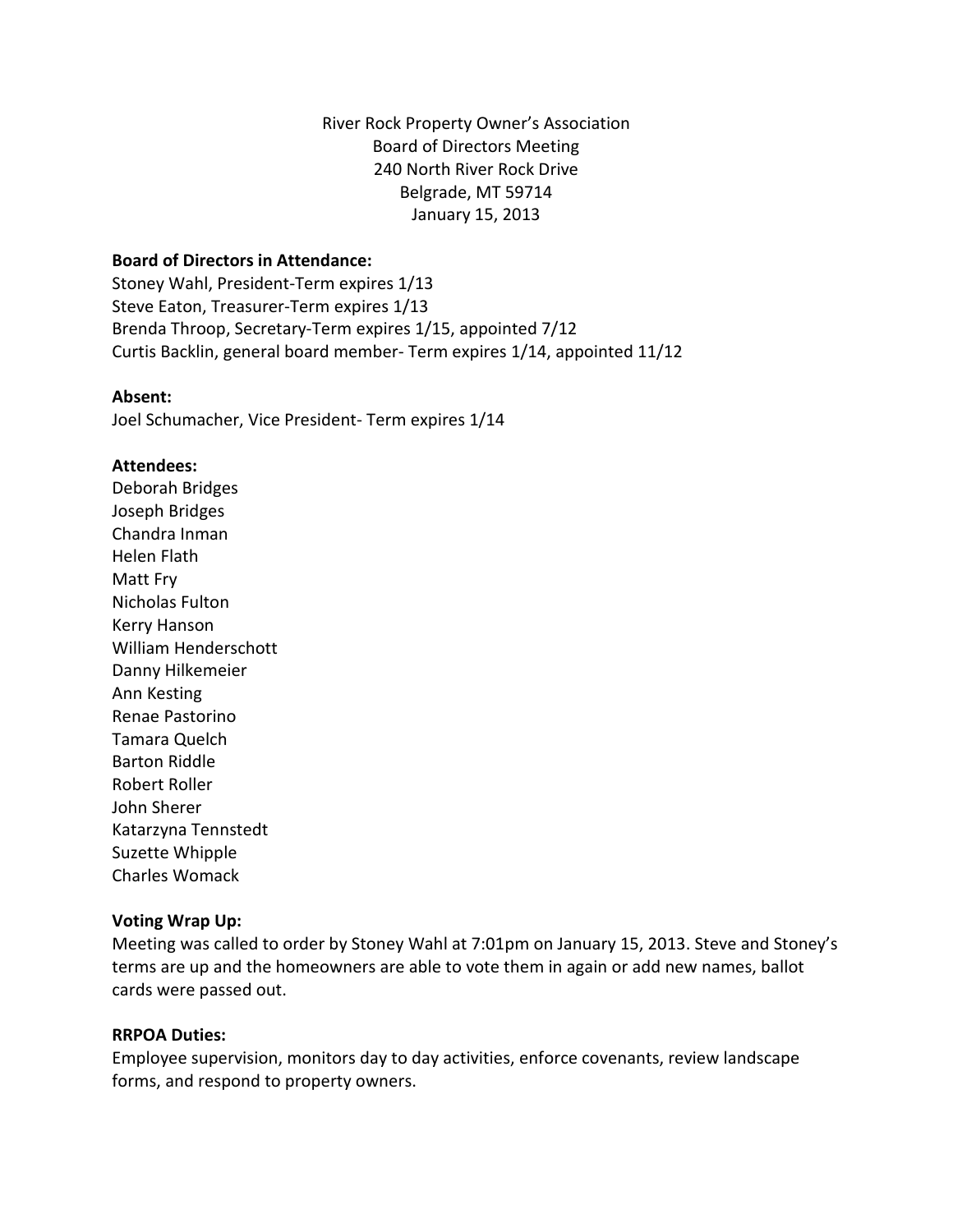River Rock Property Owner's Association Board of Directors Meeting 240 North River Rock Drive Belgrade, MT 59714 January 15, 2013

## **Board of Directors in Attendance:**

Stoney Wahl, President-Term expires 1/13 Steve Eaton, Treasurer-Term expires 1/13 Brenda Throop, Secretary-Term expires 1/15, appointed 7/12 Curtis Backlin, general board member- Term expires 1/14, appointed 11/12

#### **Absent:**

Joel Schumacher, Vice President- Term expires 1/14

#### **Attendees:**

Deborah Bridges Joseph Bridges Chandra Inman Helen Flath Matt Fry Nicholas Fulton Kerry Hanson William Henderschott Danny Hilkemeier Ann Kesting Renae Pastorino Tamara Quelch Barton Riddle Robert Roller John Sherer Katarzyna Tennstedt Suzette Whipple Charles Womack

#### **Voting Wrap Up:**

Meeting was called to order by Stoney Wahl at 7:01pm on January 15, 2013. Steve and Stoney's terms are up and the homeowners are able to vote them in again or add new names, ballot cards were passed out.

#### **RRPOA Duties:**

Employee supervision, monitors day to day activities, enforce covenants, review landscape forms, and respond to property owners.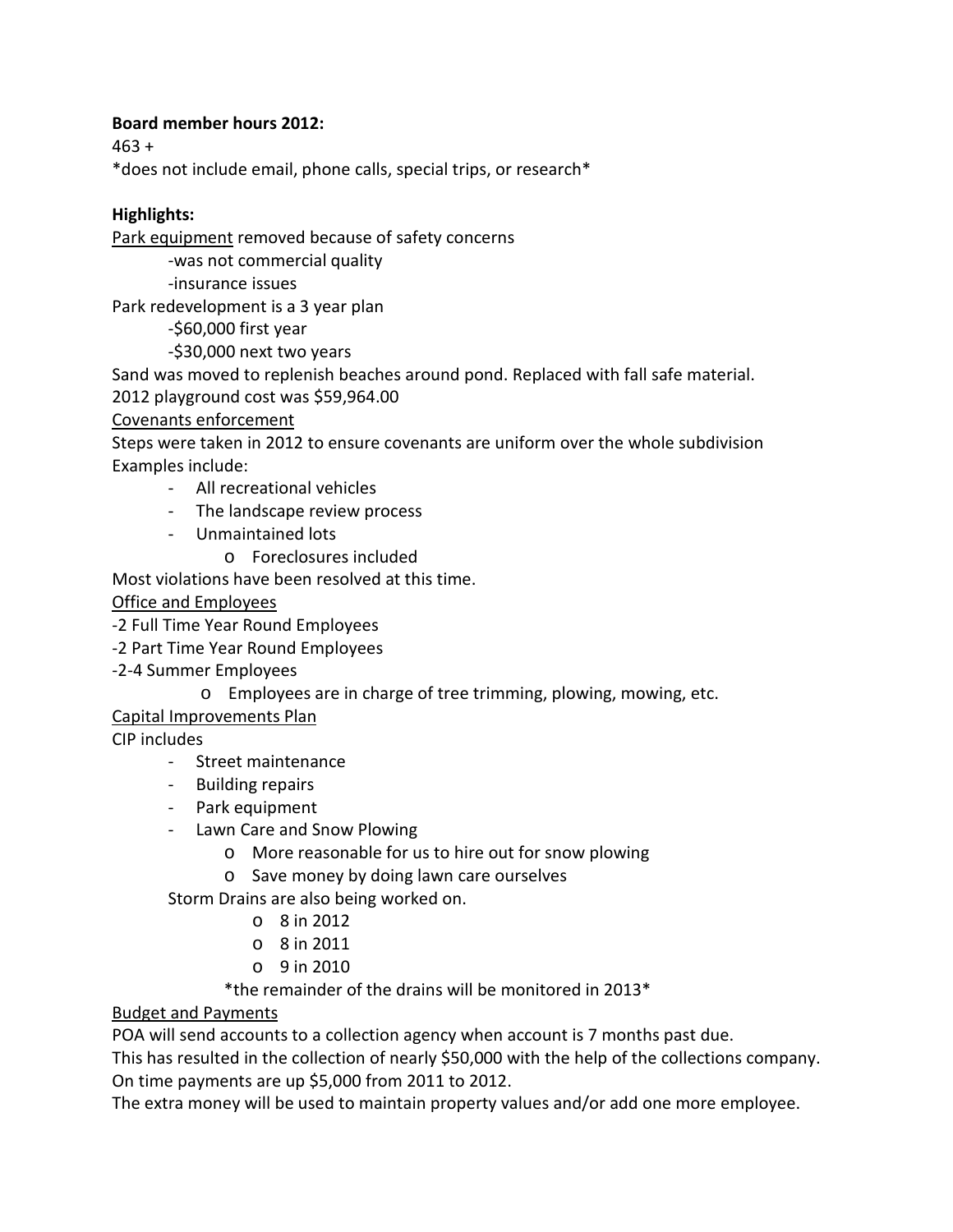## **Board member hours 2012:**

463 +

\*does not include email, phone calls, special trips, or research\*

# **Highlights:**

Park equipment removed because of safety concerns

-was not commercial quality

-insurance issues

Park redevelopment is a 3 year plan

-\$60,000 first year

-\$30,000 next two years

Sand was moved to replenish beaches around pond. Replaced with fall safe material.

2012 playground cost was \$59,964.00

Covenants enforcement

Steps were taken in 2012 to ensure covenants are uniform over the whole subdivision Examples include:

- All recreational vehicles
- The landscape review process
- Unmaintained lots
	- o Foreclosures included

Most violations have been resolved at this time.

Office and Employees

-2 Full Time Year Round Employees

- -2 Part Time Year Round Employees
- -2-4 Summer Employees
	- o Employees are in charge of tree trimming, plowing, mowing, etc.

Capital Improvements Plan

CIP includes

- Street maintenance
- Building repairs
- Park equipment
- Lawn Care and Snow Plowing
	- o More reasonable for us to hire out for snow plowing
	- o Save money by doing lawn care ourselves

Storm Drains are also being worked on.

- o 8 in 2012
- o 8 in 2011
- o 9 in 2010

\*the remainder of the drains will be monitored in 2013\*

# Budget and Payments

POA will send accounts to a collection agency when account is 7 months past due.

This has resulted in the collection of nearly \$50,000 with the help of the collections company. On time payments are up \$5,000 from 2011 to 2012.

The extra money will be used to maintain property values and/or add one more employee.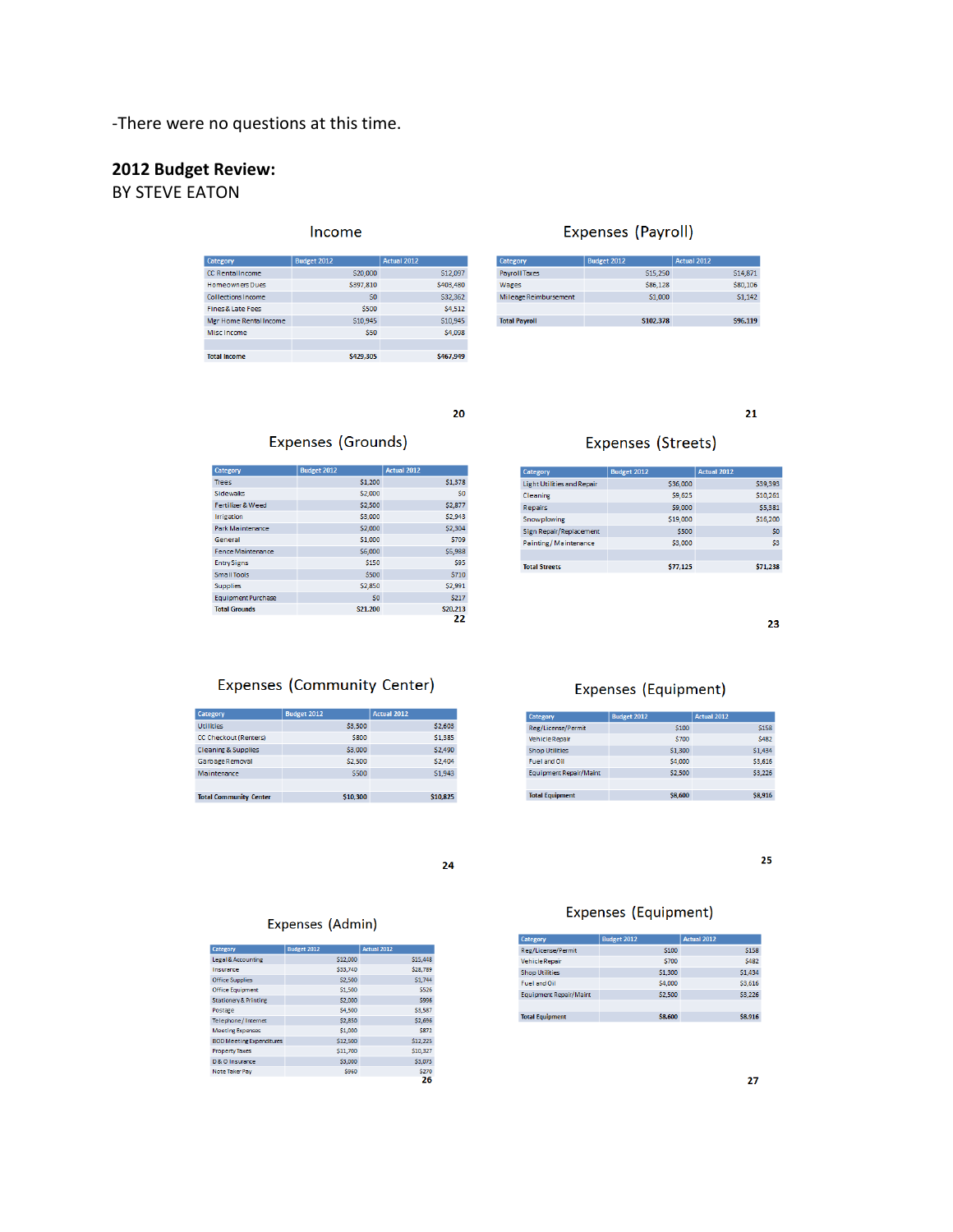-There were no questions at this time.

# **2012 Budget Review:**

# BY STEVE EATON

#### Income

| Category               | <b>Budget 2012</b> | <b>Actual 2012</b> |
|------------------------|--------------------|--------------------|
| CC RentalIncome        | \$20,000           | \$12,097           |
| <b>Homeowners Dues</b> | \$397,810          | \$403,480          |
| Collections Income     | SO <sub>2</sub>    | \$32,362           |
| Fines & Late Fees      | \$500              | \$4,512            |
| Mgr Home Rental Income | \$10.945           | \$10.945           |
| Misc Income            | \$50               | \$4,098            |
|                        |                    |                    |
| <b>Total Income</b>    | \$429,305          | \$467,949          |

#### Expenses (Payroll)

| Category              | <b>Budget 2012</b> | Actual 2012     |
|-----------------------|--------------------|-----------------|
| <b>Payroll Taxes</b>  | \$15,250           | \$14,871        |
| Wages                 | \$86,128           | \$80,106        |
| Mileage Reimbursement | \$1,000            | \$1,142         |
|                       |                    |                 |
| <b>Total Payroll</b>  | <b>S102.378</b>    | <b>\$96.119</b> |

## $20\,$

#### Expenses (Grounds)

| Category                  | <b>Budget 2012</b> | <b>Actual 2012</b> |
|---------------------------|--------------------|--------------------|
| Trees                     | \$1,200            | \$1,378            |
| <b>Sidewaks</b>           | \$2,000            | S <sub>0</sub>     |
| Fertilizer & Weed         | \$2,500            | <b>S2,877</b>      |
| Irrigation                | \$3,000            | \$2,943            |
| Park Maintenance          | \$2,000            | \$2,304            |
| General                   | \$1,000            | \$709              |
| <b>Fence Maintenance</b>  | \$6,000            | \$5,988            |
| <b>Entry Signs</b>        | \$150              | \$95               |
| <b>Small Tools</b>        | \$500              | \$710              |
| <b>Supplies</b>           | \$2,850            | \$2,991            |
| <b>Equipment Purchase</b> | S <sub>0</sub>     | \$217              |
| <b>Total Grounds</b>      | \$21,200           | \$20,213           |
|                           |                    | 22                 |

#### Expenses (Streets)

| Category                   | Budget 2012 | Actual 2012    |
|----------------------------|-------------|----------------|
| Light Utilities and Repair | \$36,000    | \$39,393       |
| Cleaning                   | S9.625      | \$10,261       |
| <b>Repairs</b>             | \$9,000     | \$5,381        |
| Snowplowing                | \$19,000    | \$16,200       |
| Sign Repair/Replacement    | \$500       | \$0            |
| Painting / Maintenance     | \$3,000     | S <sub>3</sub> |
|                            |             |                |
| <b>Total Streets</b>       | \$77,125    | \$71,238       |

23

25

 $21$ 

## Expenses (Community Center)

| Category                       | <b>Budget 2012</b> | <b>Actual 2012</b> |
|--------------------------------|--------------------|--------------------|
| <b>Utilities</b>               | \$3,500            | \$2,603            |
| CC Checkout (Renters)          | <b>S800</b>        | \$1,385            |
| <b>Cleaning &amp; Supplies</b> | \$3,000            | \$2,490            |
| Garbage Removal                | \$2.500            | \$2,404            |
| Maintenance                    | \$500              | S1.943             |
|                                |                    |                    |
| <b>Total Community Center</b>  | \$10.300           | \$10.825           |

## Expenses (Equipment)

| Category                      | <b>Budget 2012</b> | <b>Actual 2012</b> |
|-------------------------------|--------------------|--------------------|
| Reg/License/Permit            | \$100              | \$158              |
| <b>Vehicle Repair</b>         | \$700              | <b>S482</b>        |
| <b>Shop Utilities</b>         | \$1,300            | \$1,434            |
| <b>Fuel and Oil</b>           | \$4,000            | \$3,616            |
| <b>Equipment Repair/Maint</b> | \$2,500            | \$3,226            |
|                               |                    |                    |
| <b>Total Equipment</b>        | \$8,600            | <b>S8.916</b>      |

 $24$ 

#### Expenses (Admin)

| Category                         | <b>Budget 2012</b> | <b>Actual 2012</b> |
|----------------------------------|--------------------|--------------------|
| Legal & Accounting               | \$12,000           | \$15,448           |
| Insurance                        | \$33,740           | \$28,789           |
| <b>Office Supplies</b>           | \$2,500            | S1.744             |
| <b>Office Equipment</b>          | \$1,500            | <b>S526</b>        |
| <b>Stationery &amp; Printing</b> | \$2,000            | <b>S996</b>        |
| Postage                          | \$4,500            | \$3,587            |
| Telephone/Internet               | \$2,850            | \$2,696            |
| <b>Meeting Expenses</b>          | \$1,000            | S872               |
| <b>BOD Meeting Expenditures</b>  | \$12,500           | \$12,225           |
| <b>Property Taxes</b>            | \$11,700           | \$10,327           |
| D & O Insurance                  | \$3,000            | \$3,075            |
| Note Taker Pay                   | <b>S960</b>        | <b>S270</b>        |
|                                  |                    | 26                 |

## Expenses (Equipment)

| Category                      | <b>Budget 2012</b> | Actual 2012 |
|-------------------------------|--------------------|-------------|
| Reg/License/Permit            | \$100              | <b>S158</b> |
| <b>Vehicle Repair</b>         | \$700              | <b>S482</b> |
| <b>Shop Utilities</b>         | \$1,300            | \$1,434     |
| <b>Fuel and Oil</b>           | \$4,000            | \$3.616     |
| <b>Equipment Repair/Maint</b> | \$2,500            | \$3,226     |
|                               |                    |             |
| <b>Total Equipment</b>        | \$8,600            | \$8.916     |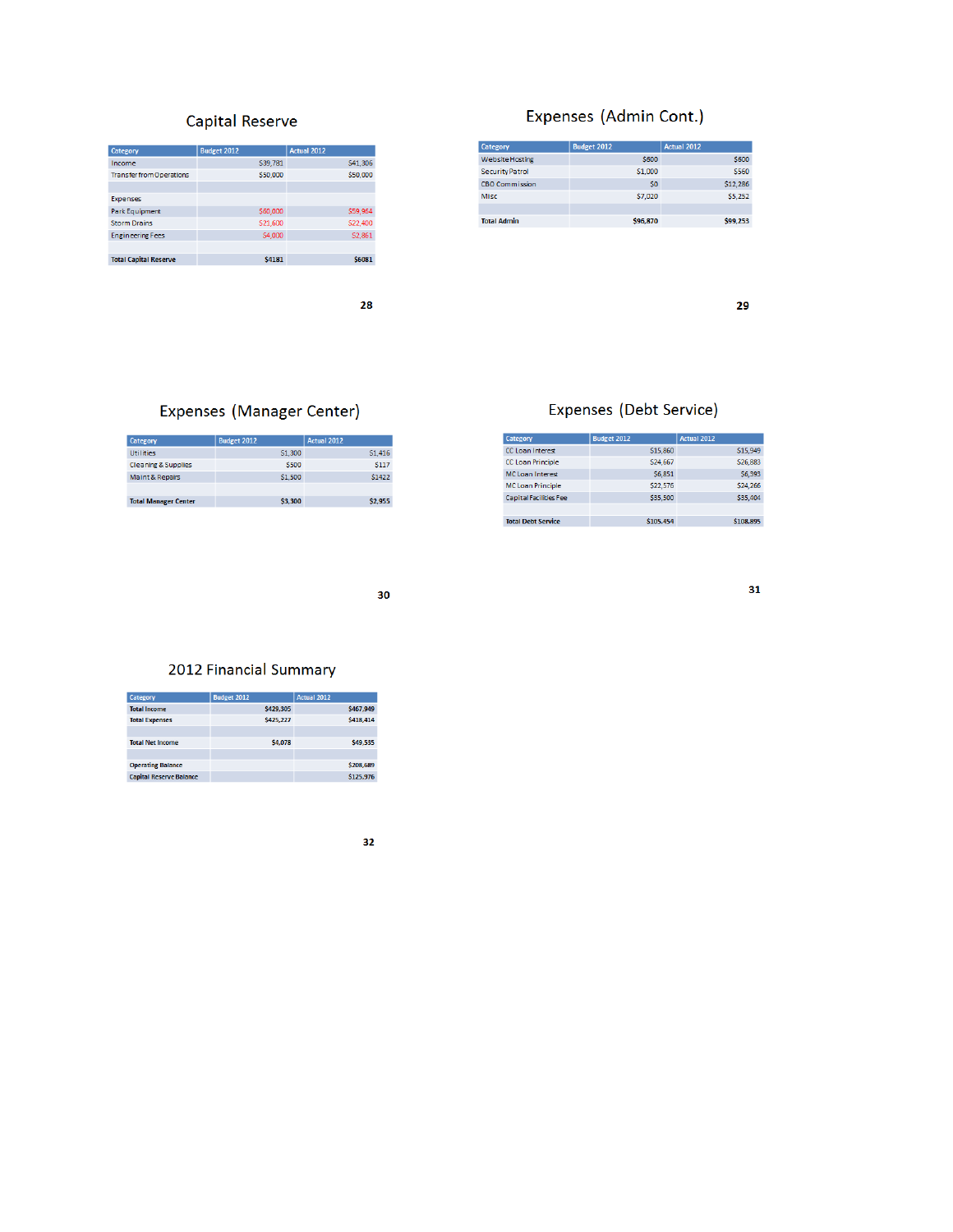# Capital Reserve

| Category                        | <b>Budget 2012</b> | <b>Actual 2012</b> |
|---------------------------------|--------------------|--------------------|
| Income                          | \$39,781           | \$41,306           |
| <b>Transfer from Operations</b> | \$50,000           | \$50,000           |
|                                 |                    |                    |
| <b>Expenses</b>                 |                    |                    |
| <b>Park Equipment</b>           | \$60,000           | \$59,964           |
| <b>Storm Drains</b>             | \$21,600           | \$22,400           |
| <b>Engineering Fees</b>         | \$4,000            | \$2,861            |
|                                 |                    |                    |
| <b>Total Capital Reserve</b>    | <b>\$4181</b>      | \$6081             |

28

# Expenses (Admin Cont.)

| Category               | <b>Budget 2012</b> | <b>Actual 2012</b> |
|------------------------|--------------------|--------------------|
| <b>Website Hosting</b> | \$600              | <b>S600</b>        |
| <b>Security Patrol</b> | \$1,000            | \$560              |
| <b>CBO Commission</b>  | \$0                | \$12,286           |
| Misc                   | \$7,020            | \$5,252            |
|                        |                    |                    |
| <b>Total Admin</b>     | \$96,870           | \$99.253           |

29

 $31$ 

# Expenses (Manager Center)

| Category                       | <b>Budget 2012</b> | <b>Actual 2012</b> |
|--------------------------------|--------------------|--------------------|
| <b>Utilities</b>               | \$1,300            | \$1,416            |
| <b>Cleaning &amp; Supplies</b> | \$500              | <b>S117</b>        |
| Maint & Repairs                | \$1,500            | S1422              |
|                                |                    |                    |
| <b>Total Manager Center</b>    | \$3,300            | \$2.955            |

# Expenses (Debt Service)

| Category                  | <b>Budget 2012</b> | <b>Actual 2012</b> |
|---------------------------|--------------------|--------------------|
| CC Loan Interest          | \$15,860           | \$15,949           |
| CC Loan Principle         | \$24,667           | \$26,883           |
| <b>MC Loan Interest</b>   | \$6,851            | \$6,393            |
| <b>MC Loan Principle</b>  | \$22,576           | \$24,266           |
| Capital Facilities Fee    | \$35,500           | \$35,404           |
|                           |                    |                    |
| <b>Total Debt Service</b> | \$105.454          | \$108.895          |

30

## 2012 Financial Summary

| Category                       | <b>Budget 2012</b> | <b>Actual 2012</b> |
|--------------------------------|--------------------|--------------------|
| <b>Total Income</b>            | S429.305           | S467.949           |
| <b>Total Expenses</b>          | S425.227           | S418.414           |
|                                |                    |                    |
| <b>Total Net Income</b>        | \$4,078            | <b>\$49,535</b>    |
|                                |                    |                    |
| <b>Operating Balance</b>       |                    | \$208.689          |
| <b>Capital Reserve Balance</b> |                    | \$125.976          |
|                                |                    |                    |

 $32<sub>2</sub>$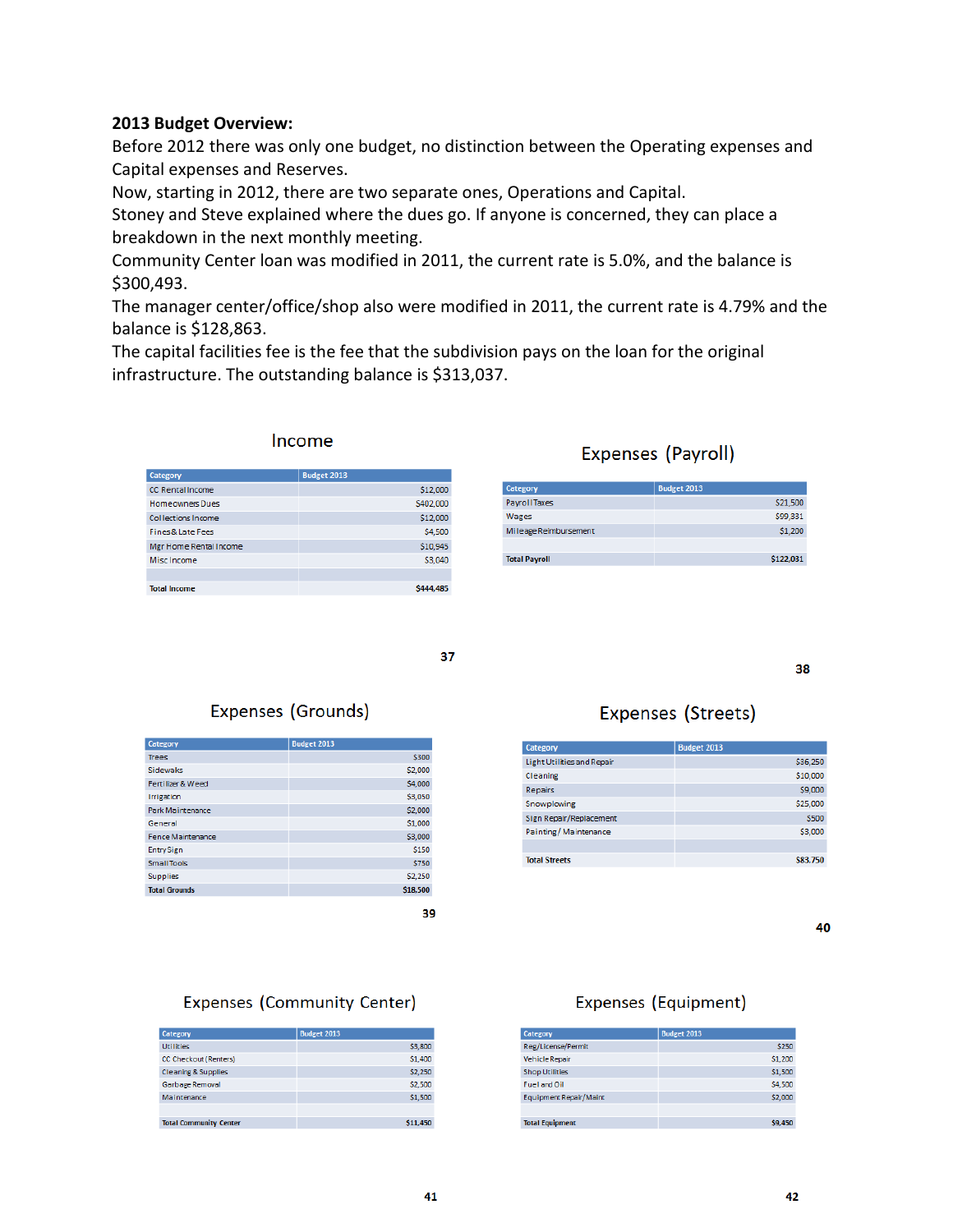#### **2013 Budget Overview:**

**Category** 

Before 2012 there was only one budget, no distinction between the Operating expenses and Capital expenses and Reserves.

Now, starting in 2012, there are two separate ones, Operations and Capital.

Stoney and Steve explained where the dues go. If anyone is concerned, they can place a breakdown in the next monthly meeting.

Community Center loan was modified in 2011, the current rate is 5.0%, and the balance is \$300,493.

The manager center/office/shop also were modified in 2011, the current rate is 4.79% and the balance is \$128,863.

The capital facilities fee is the fee that the subdivision pays on the loan for the original infrastructure. The outstanding balance is \$313,037.

| Income             |
|--------------------|
| <b>Budget 2013</b> |

| CC RentalIncome        | \$12,000  |
|------------------------|-----------|
| <b>Homeowners Dues</b> | \$402,000 |
| Collections Income     | \$12,000  |
| Fines & Late Fees      | \$4,500   |
| Mgr Home Rental Income | \$10,945  |
| Misc Income            | \$3,040   |
|                        |           |
| <b>Total Income</b>    | \$444,485 |

# Expenses (Payroll)

| <b>Category</b>       | Budget 2013 |
|-----------------------|-------------|
| <b>Payroll Taxes</b>  | \$21,500    |
| Wages                 | \$99,331    |
| Mileage Reimbursement | \$1,200     |
|                       |             |
| <b>Total Payroll</b>  | \$122.031   |

37

# Expenses (Grounds)

| Category                 | <b>Budget 2013</b> |
|--------------------------|--------------------|
| <b>Trees</b>             | \$300              |
| <b>Sidewaks</b>          | \$2,000            |
| Fertilizer & Weed        | \$4,000            |
| <b>Irrigation</b>        | \$3,050            |
| Park Maintenance         | \$2,000            |
| General                  | \$1,000            |
| <b>Fence Maintenance</b> | \$3,000            |
| <b>Entry Sign</b>        | \$150              |
| Small Tools              | \$750              |
| <b>Supplies</b>          | \$2,250            |
| <b>Total Grounds</b>     | \$18,500           |
|                          |                    |

39

# Expenses (Streets)

| \$36,250 |
|----------|
| \$10,000 |
| \$9,000  |
| \$25,000 |
| \$500    |
| \$3,000  |
|          |
| \$83,750 |
|          |

40

38

## Expenses (Community Center)

| Category                       | <b>Budget 2013</b> |
|--------------------------------|--------------------|
| <b>Utilities</b>               | \$3,800            |
| CC Checkout (Renters)          | \$1,400            |
| <b>Cleaning &amp; Supplies</b> | \$2,250            |
| Garbage Removal                | \$2,500            |
| Maintenance                    | \$1,500            |
|                                |                    |
| <b>Total Community Center</b>  | \$11.450           |

# Expenses (Equipment)

| Category                      | <b>Budget 2013</b> |
|-------------------------------|--------------------|
| Reg/License/Permit            | \$250              |
| <b>Vehicle Repair</b>         | \$1,200            |
| <b>Shop Utilities</b>         | \$1,500            |
| Fuel and Oil                  | \$4,500            |
| <b>Equipment Repair/Maint</b> | \$2,000            |
|                               |                    |
| <b>Total Equipment</b>        | \$9,450            |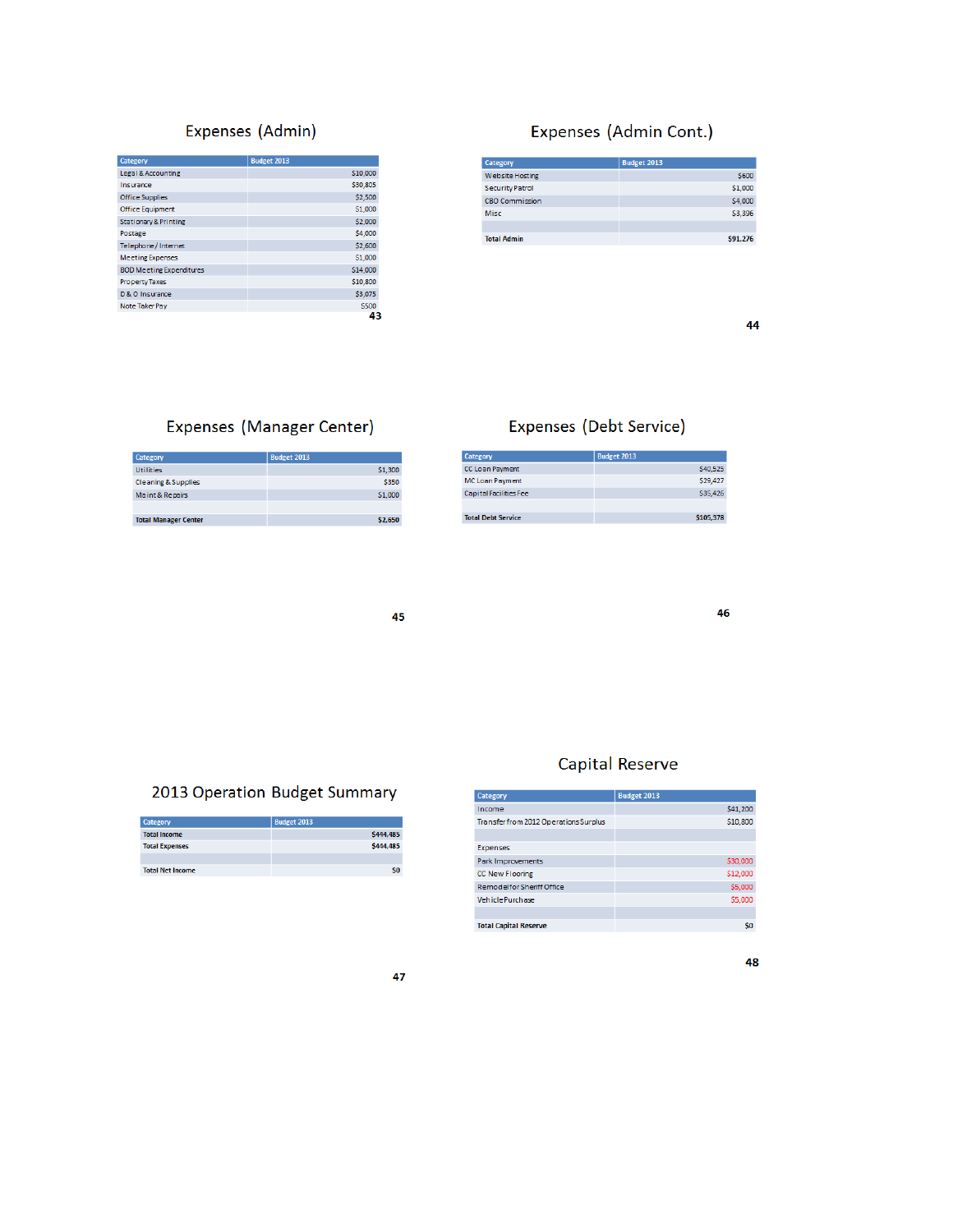# Expenses (Admin)

| Category                         | <b>Budget 2013</b> |
|----------------------------------|--------------------|
| Legal & Accounting               | \$10,000           |
| Insurance                        | \$30,805           |
| <b>Office Supplies</b>           | \$2,500            |
| <b>Office Equipment</b>          | \$1,000            |
| <b>Stationary &amp; Printing</b> | \$2,000            |
| Postage                          | \$4,000            |
| Telephone/Internet               | \$2,600            |
| <b>Meeting Expenses</b>          | \$1,000            |
| <b>BOD Meeting Expenditures</b>  | \$14,000           |
| <b>Property Taxes</b>            | \$10,800           |
| D & O Insurance                  | \$3,075            |
| Note Taker Pay                   | \$500              |
|                                  | 43                 |

# Expenses (Admin Cont.)

| Category               | <b>Budget 2013</b> |
|------------------------|--------------------|
| <b>Website Hosting</b> | \$600              |
| <b>Security Patrol</b> | \$1,000            |
| <b>CBO Commission</b>  | \$4,000            |
| Misc                   | \$3,396            |
|                        |                    |
| <b>Total Admin</b>     | \$91.276           |

44

# Expenses (Manager Center)

| <b>Category</b>                | <b>Budget 2013</b> |
|--------------------------------|--------------------|
| <b>Utilities</b>               | \$1,300            |
| <b>Cleaning &amp; Supplies</b> | \$350              |
| Maint & Repairs                | \$1,000            |
|                                |                    |
| <b>Total Manager Center</b>    | \$2.650            |

# Expenses (Debt Service)

| <b>Category</b>           | <b>Budget 2013</b> |
|---------------------------|--------------------|
| CC Loan Payment           | S40.525            |
| <b>MC Loan Payment</b>    | S29.427            |
| Capital Facilities Fee    | \$35.426           |
|                           |                    |
| <b>Total Debt Service</b> | \$105.378          |

45

46

# 2013 Operation Budget Summary

| Category                | <b>Budget 2013</b> |
|-------------------------|--------------------|
| <b>Total Income</b>     | S444.485           |
| <b>Total Expenses</b>   | <b>S444.485</b>    |
|                         |                    |
| <b>Total Net Income</b> | \$0                |

## **Capital Reserve**

| Category                              | Budget 2013 |
|---------------------------------------|-------------|
| Income                                | \$41,200    |
| Transfer from 2012 Operations Surplus | \$10,800    |
|                                       |             |
| Expenses                              |             |
| Park Improvements                     | \$30,000    |
| <b>CC New Flooring</b>                | \$12,000    |
| <b>Remodelfor Sheriff Office</b>      | \$5,000     |
| <b>Vehicle Purchase</b>               | \$5,000     |
|                                       |             |
| <b>Total Capital Reserve</b>          | \$0         |

48

#### 47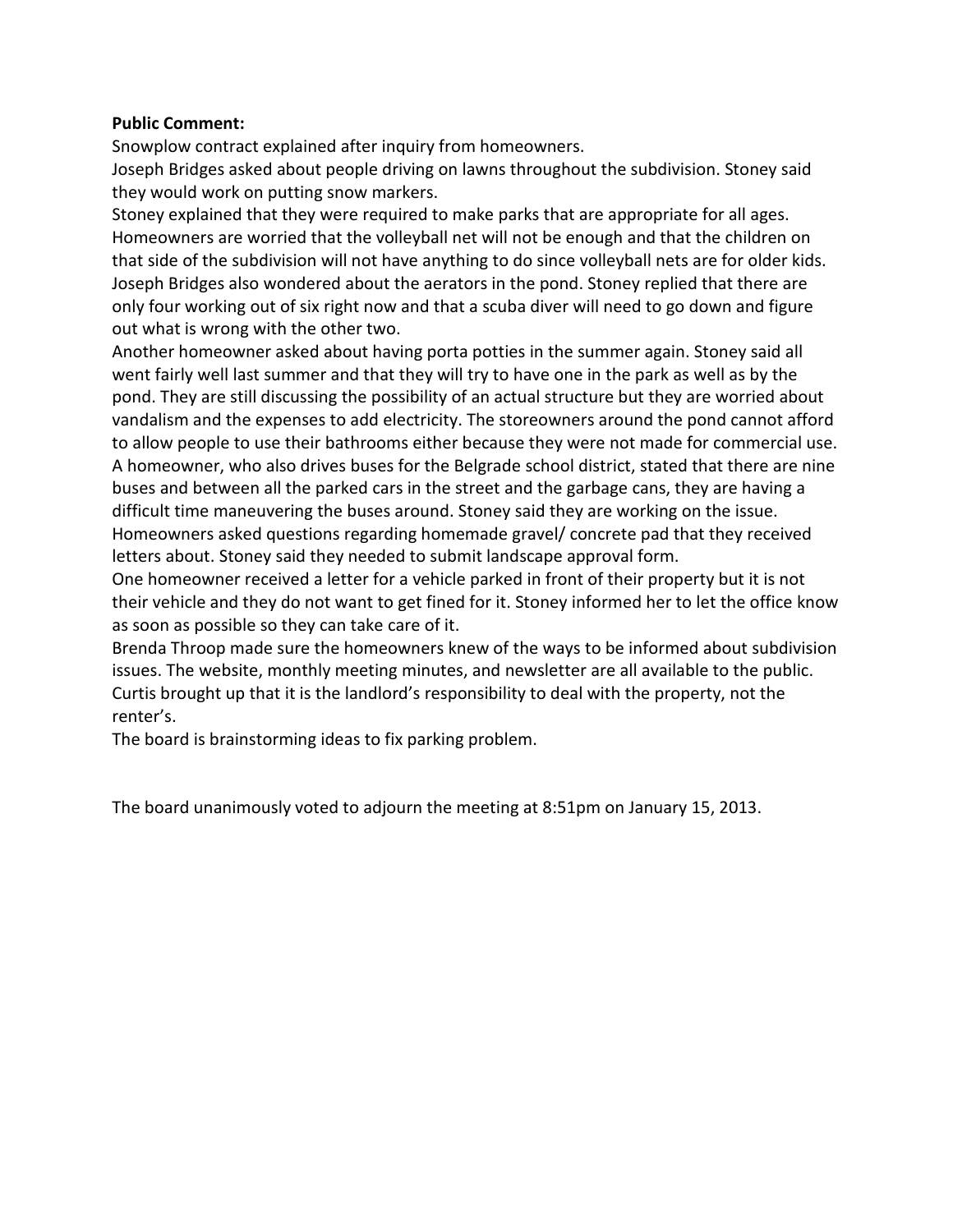## **Public Comment:**

Snowplow contract explained after inquiry from homeowners. Joseph Bridges asked about people driving on lawns throughout the subdivision. Stoney said they would work on putting snow markers.

Stoney explained that they were required to make parks that are appropriate for all ages. Homeowners are worried that the volleyball net will not be enough and that the children on that side of the subdivision will not have anything to do since volleyball nets are for older kids. Joseph Bridges also wondered about the aerators in the pond. Stoney replied that there are only four working out of six right now and that a scuba diver will need to go down and figure out what is wrong with the other two.

Another homeowner asked about having porta potties in the summer again. Stoney said all went fairly well last summer and that they will try to have one in the park as well as by the pond. They are still discussing the possibility of an actual structure but they are worried about vandalism and the expenses to add electricity. The storeowners around the pond cannot afford to allow people to use their bathrooms either because they were not made for commercial use. A homeowner, who also drives buses for the Belgrade school district, stated that there are nine buses and between all the parked cars in the street and the garbage cans, they are having a difficult time maneuvering the buses around. Stoney said they are working on the issue. Homeowners asked questions regarding homemade gravel/ concrete pad that they received letters about. Stoney said they needed to submit landscape approval form.

One homeowner received a letter for a vehicle parked in front of their property but it is not their vehicle and they do not want to get fined for it. Stoney informed her to let the office know as soon as possible so they can take care of it.

Brenda Throop made sure the homeowners knew of the ways to be informed about subdivision issues. The website, monthly meeting minutes, and newsletter are all available to the public. Curtis brought up that it is the landlord's responsibility to deal with the property, not the renter's.

The board is brainstorming ideas to fix parking problem.

The board unanimously voted to adjourn the meeting at 8:51pm on January 15, 2013.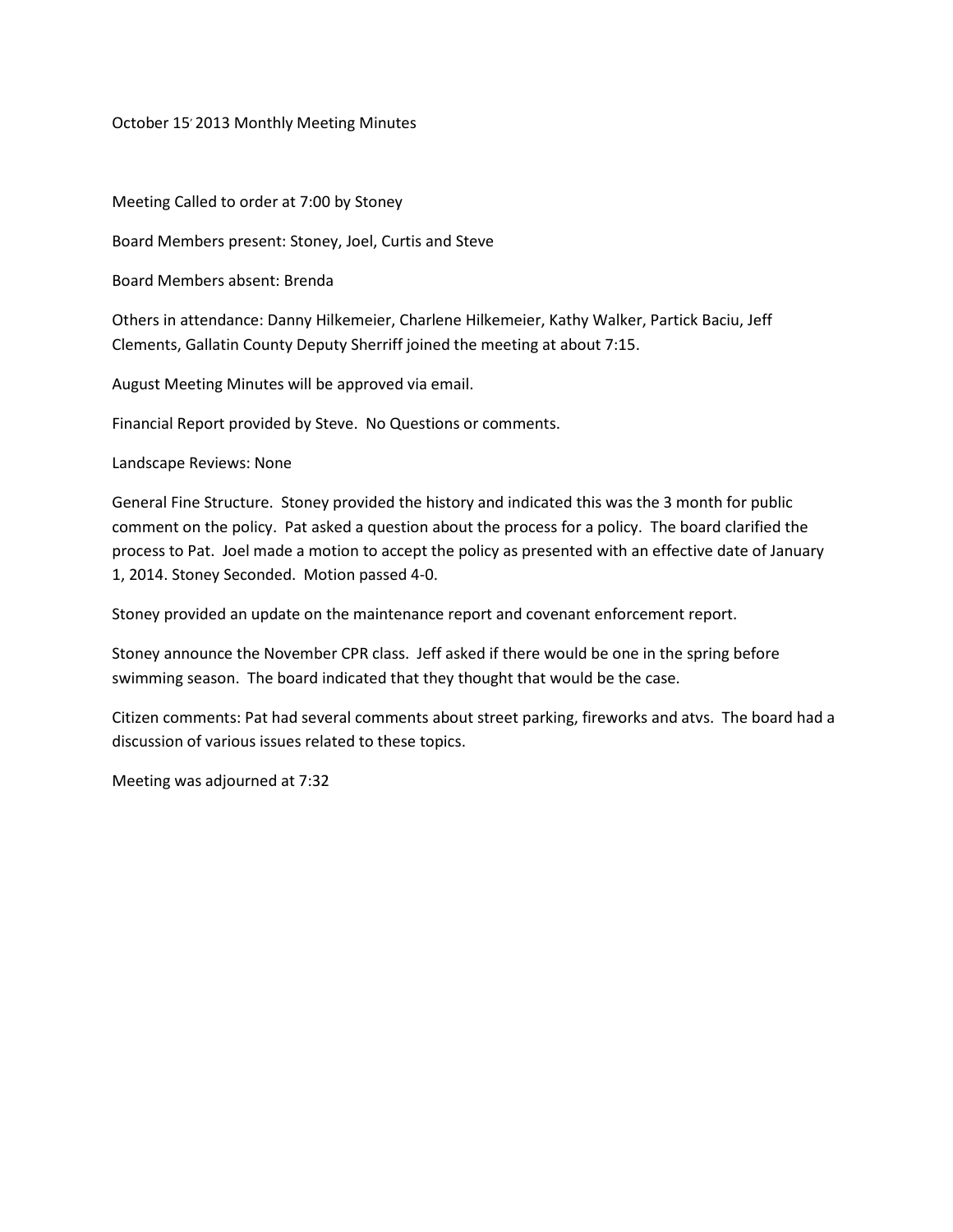October 15<sup>'</sup> 2013 Monthly Meeting Minutes

Meeting Called to order at 7:00 by Stoney

Board Members present: Stoney, Joel, Curtis and Steve

Board Members absent: Brenda

Others in attendance: Danny Hilkemeier, Charlene Hilkemeier, Kathy Walker, Partick Baciu, Jeff Clements, Gallatin County Deputy Sherriff joined the meeting at about 7:15.

August Meeting Minutes will be approved via email.

Financial Report provided by Steve. No Questions or comments.

Landscape Reviews: None

General Fine Structure. Stoney provided the history and indicated this was the 3 month for public comment on the policy. Pat asked a question about the process for a policy. The board clarified the process to Pat. Joel made a motion to accept the policy as presented with an effective date of January 1, 2014. Stoney Seconded. Motion passed 4-0.

Stoney provided an update on the maintenance report and covenant enforcement report.

Stoney announce the November CPR class. Jeff asked if there would be one in the spring before swimming season. The board indicated that they thought that would be the case.

Citizen comments: Pat had several comments about street parking, fireworks and atvs. The board had a discussion of various issues related to these topics.

Meeting was adjourned at 7:32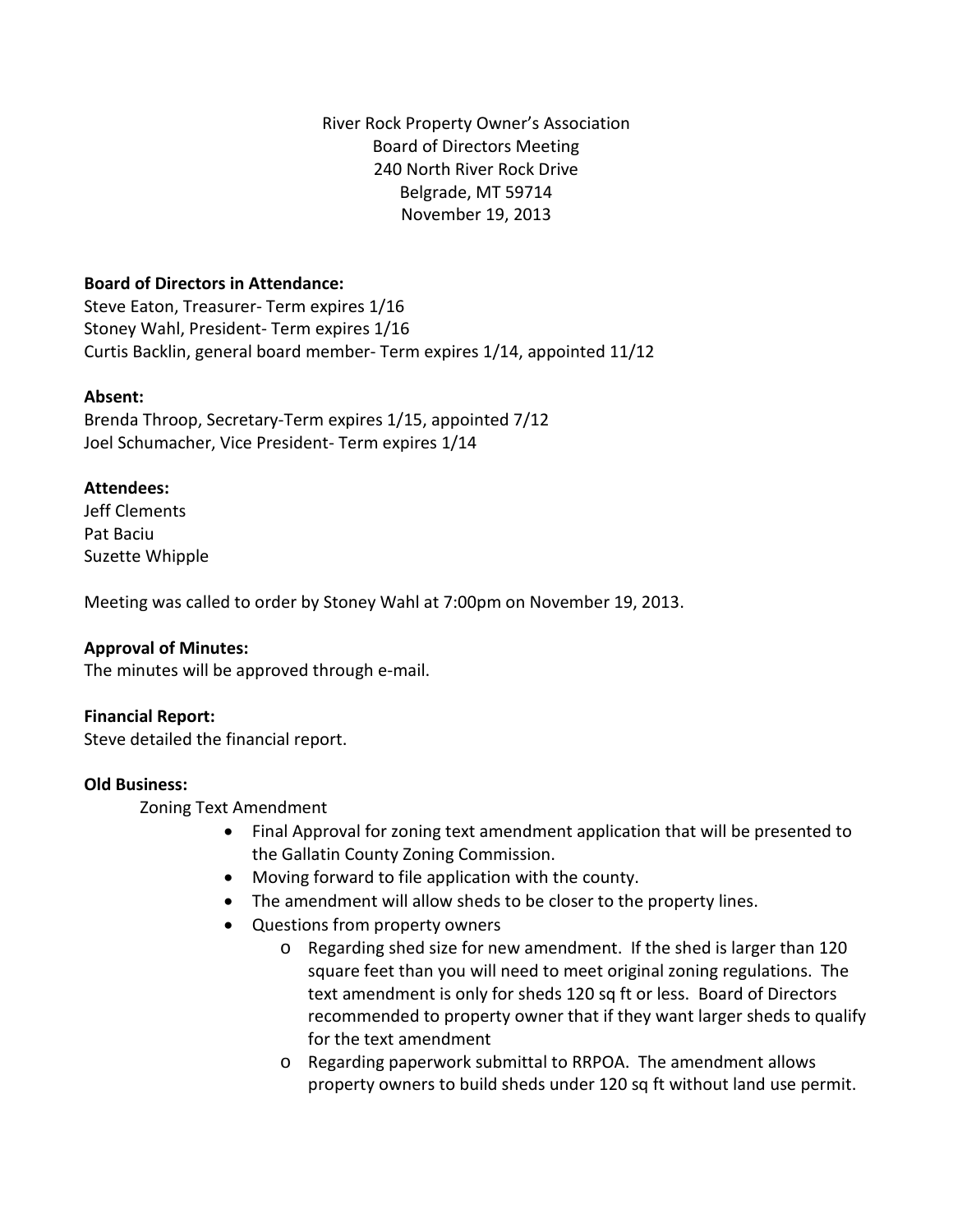River Rock Property Owner's Association Board of Directors Meeting 240 North River Rock Drive Belgrade, MT 59714 November 19, 2013

## **Board of Directors in Attendance:**

Steve Eaton, Treasurer- Term expires 1/16 Stoney Wahl, President- Term expires 1/16 Curtis Backlin, general board member- Term expires 1/14, appointed 11/12

## **Absent:**

Brenda Throop, Secretary-Term expires 1/15, appointed 7/12 Joel Schumacher, Vice President- Term expires 1/14

## **Attendees:**

Jeff Clements Pat Baciu Suzette Whipple

Meeting was called to order by Stoney Wahl at 7:00pm on November 19, 2013.

## **Approval of Minutes:**

The minutes will be approved through e-mail.

## **Financial Report:**

Steve detailed the financial report.

## **Old Business:**

Zoning Text Amendment

- Final Approval for zoning text amendment application that will be presented to the Gallatin County Zoning Commission.
- Moving forward to file application with the county.
- The amendment will allow sheds to be closer to the property lines.
- Questions from property owners
	- o Regarding shed size for new amendment. If the shed is larger than 120 square feet than you will need to meet original zoning regulations. The text amendment is only for sheds 120 sq ft or less. Board of Directors recommended to property owner that if they want larger sheds to qualify for the text amendment
	- o Regarding paperwork submittal to RRPOA. The amendment allows property owners to build sheds under 120 sq ft without land use permit.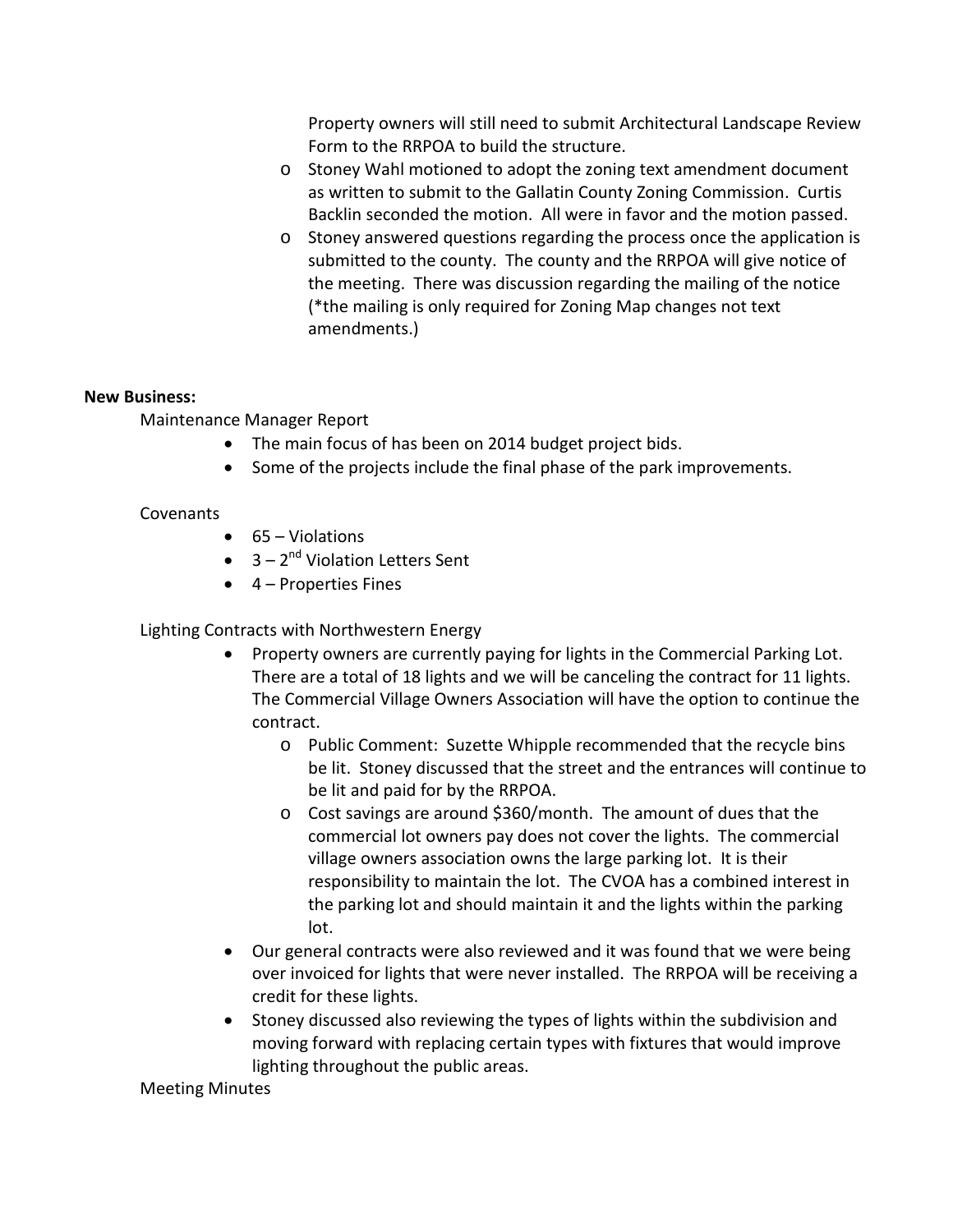Property owners will still need to submit Architectural Landscape Review Form to the RRPOA to build the structure.

- o Stoney Wahl motioned to adopt the zoning text amendment document as written to submit to the Gallatin County Zoning Commission. Curtis Backlin seconded the motion. All were in favor and the motion passed.
- o Stoney answered questions regarding the process once the application is submitted to the county. The county and the RRPOA will give notice of the meeting. There was discussion regarding the mailing of the notice (\*the mailing is only required for Zoning Map changes not text amendments.)

## **New Business:**

Maintenance Manager Report

- The main focus of has been on 2014 budget project bids.
- Some of the projects include the final phase of the park improvements.

## Covenants

- 65 Violations
- $\bullet$  3 2<sup>nd</sup> Violation Letters Sent
- $\bullet$  4 Properties Fines

Lighting Contracts with Northwestern Energy

- Property owners are currently paying for lights in the Commercial Parking Lot. There are a total of 18 lights and we will be canceling the contract for 11 lights. The Commercial Village Owners Association will have the option to continue the contract.
	- o Public Comment: Suzette Whipple recommended that the recycle bins be lit. Stoney discussed that the street and the entrances will continue to be lit and paid for by the RRPOA.
	- o Cost savings are around \$360/month. The amount of dues that the commercial lot owners pay does not cover the lights. The commercial village owners association owns the large parking lot. It is their responsibility to maintain the lot. The CVOA has a combined interest in the parking lot and should maintain it and the lights within the parking lot.
- Our general contracts were also reviewed and it was found that we were being over invoiced for lights that were never installed. The RRPOA will be receiving a credit for these lights.
- Stoney discussed also reviewing the types of lights within the subdivision and moving forward with replacing certain types with fixtures that would improve lighting throughout the public areas.

Meeting Minutes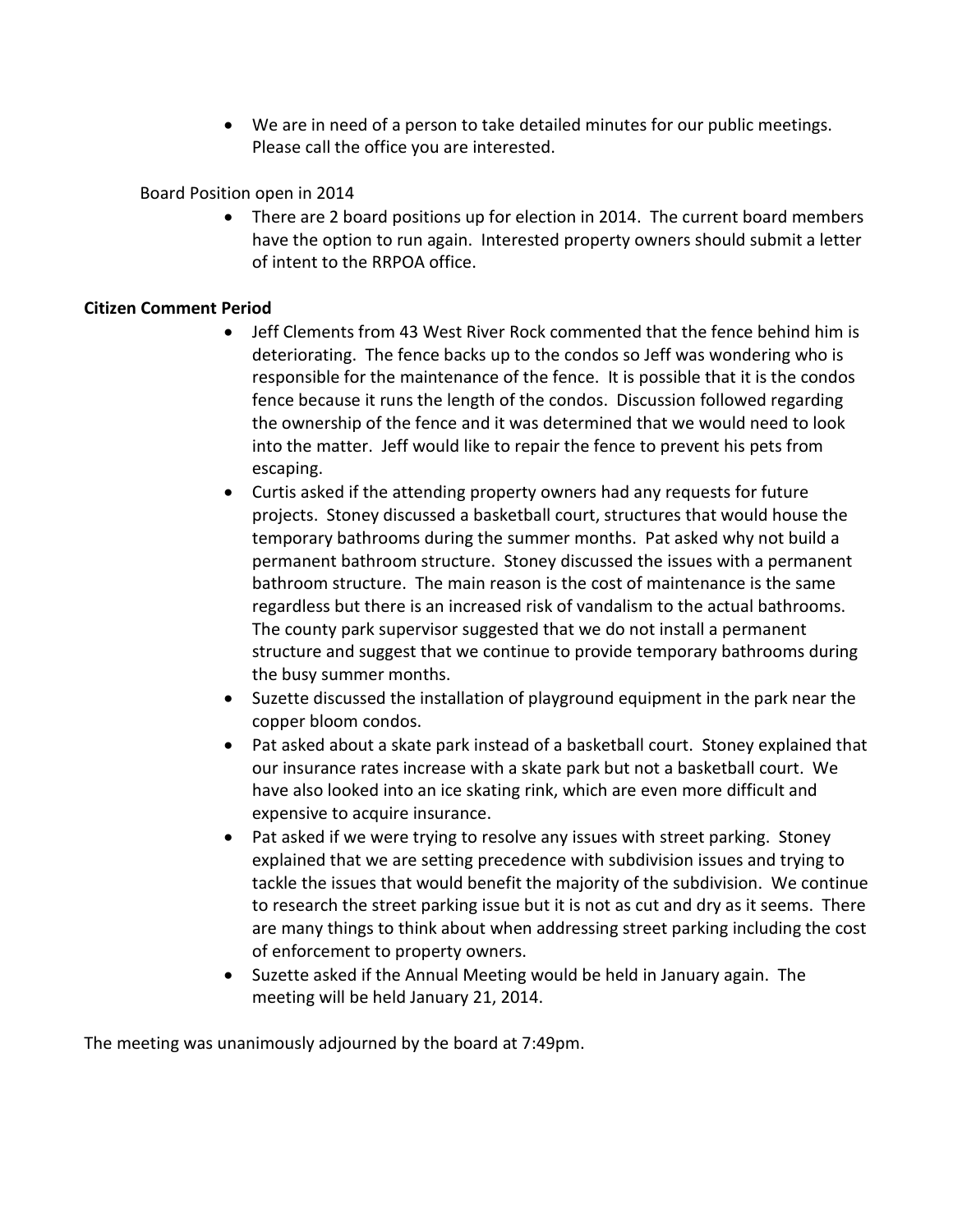• We are in need of a person to take detailed minutes for our public meetings. Please call the office you are interested.

Board Position open in 2014

• There are 2 board positions up for election in 2014. The current board members have the option to run again. Interested property owners should submit a letter of intent to the RRPOA office.

## **Citizen Comment Period**

- Jeff Clements from 43 West River Rock commented that the fence behind him is deteriorating. The fence backs up to the condos so Jeff was wondering who is responsible for the maintenance of the fence. It is possible that it is the condos fence because it runs the length of the condos. Discussion followed regarding the ownership of the fence and it was determined that we would need to look into the matter. Jeff would like to repair the fence to prevent his pets from escaping.
- Curtis asked if the attending property owners had any requests for future projects. Stoney discussed a basketball court, structures that would house the temporary bathrooms during the summer months. Pat asked why not build a permanent bathroom structure. Stoney discussed the issues with a permanent bathroom structure. The main reason is the cost of maintenance is the same regardless but there is an increased risk of vandalism to the actual bathrooms. The county park supervisor suggested that we do not install a permanent structure and suggest that we continue to provide temporary bathrooms during the busy summer months.
- Suzette discussed the installation of playground equipment in the park near the copper bloom condos.
- Pat asked about a skate park instead of a basketball court. Stoney explained that our insurance rates increase with a skate park but not a basketball court. We have also looked into an ice skating rink, which are even more difficult and expensive to acquire insurance.
- Pat asked if we were trying to resolve any issues with street parking. Stoney explained that we are setting precedence with subdivision issues and trying to tackle the issues that would benefit the majority of the subdivision. We continue to research the street parking issue but it is not as cut and dry as it seems. There are many things to think about when addressing street parking including the cost of enforcement to property owners.
- Suzette asked if the Annual Meeting would be held in January again. The meeting will be held January 21, 2014.

The meeting was unanimously adjourned by the board at 7:49pm.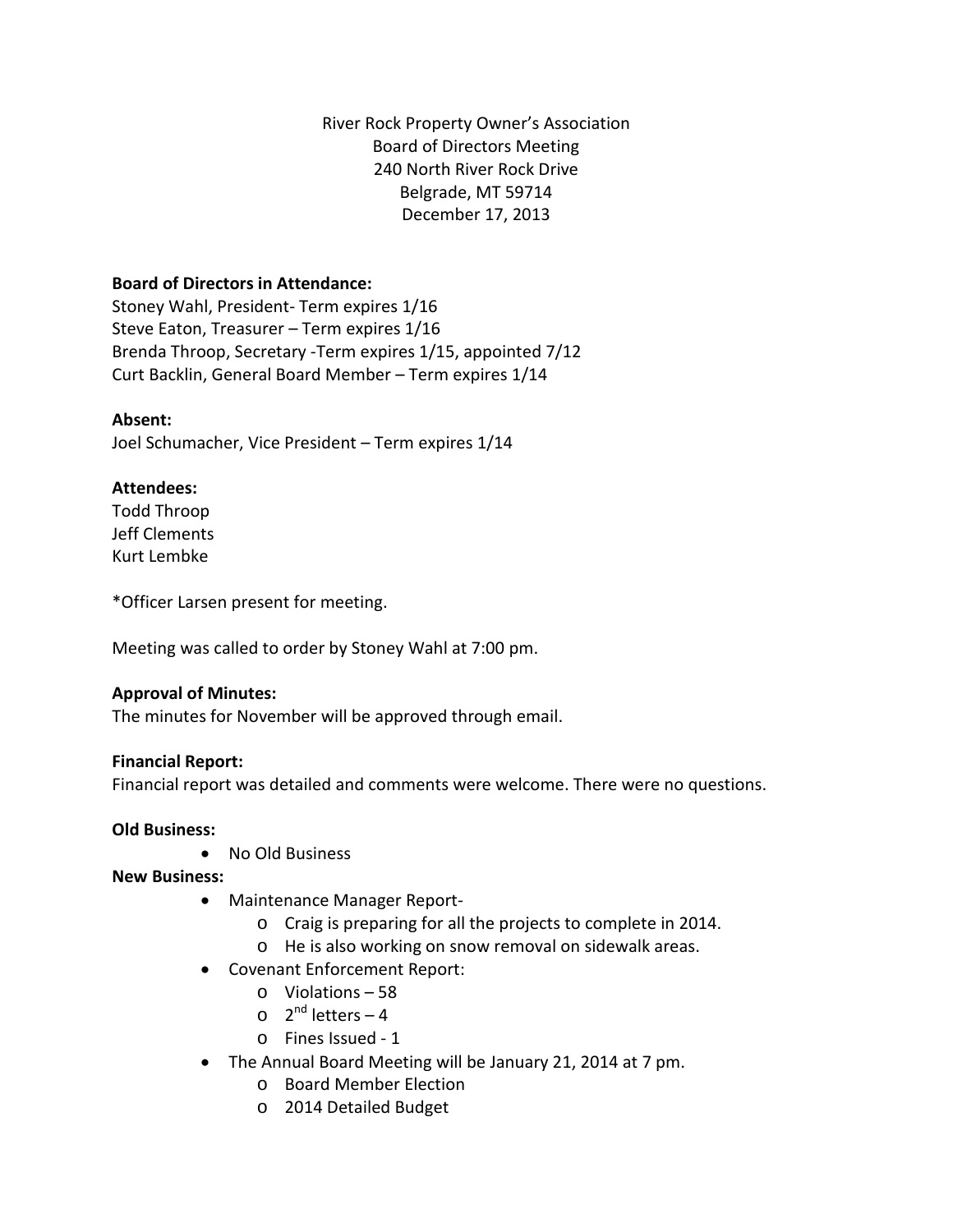River Rock Property Owner's Association Board of Directors Meeting 240 North River Rock Drive Belgrade, MT 59714 December 17, 2013

## **Board of Directors in Attendance:**

Stoney Wahl, President- Term expires 1/16 Steve Eaton, Treasurer – Term expires 1/16 Brenda Throop, Secretary -Term expires 1/15, appointed 7/12 Curt Backlin, General Board Member – Term expires 1/14

## **Absent:**

Joel Schumacher, Vice President – Term expires 1/14

## **Attendees:**

Todd Throop Jeff Clements Kurt Lembke

\*Officer Larsen present for meeting.

Meeting was called to order by Stoney Wahl at 7:00 pm.

## **Approval of Minutes:**

The minutes for November will be approved through email.

## **Financial Report:**

Financial report was detailed and comments were welcome. There were no questions.

## **Old Business:**

• No Old Business

**New Business:**

- Maintenance Manager Report
	- o Craig is preparing for all the projects to complete in 2014.
	- o He is also working on snow removal on sidewalk areas.
- Covenant Enforcement Report:
	- o Violations 58
	- $\circ$  2<sup>nd</sup> letters 4
	- o Fines Issued 1
- The Annual Board Meeting will be January 21, 2014 at 7 pm.
	- o Board Member Election
	- o 2014 Detailed Budget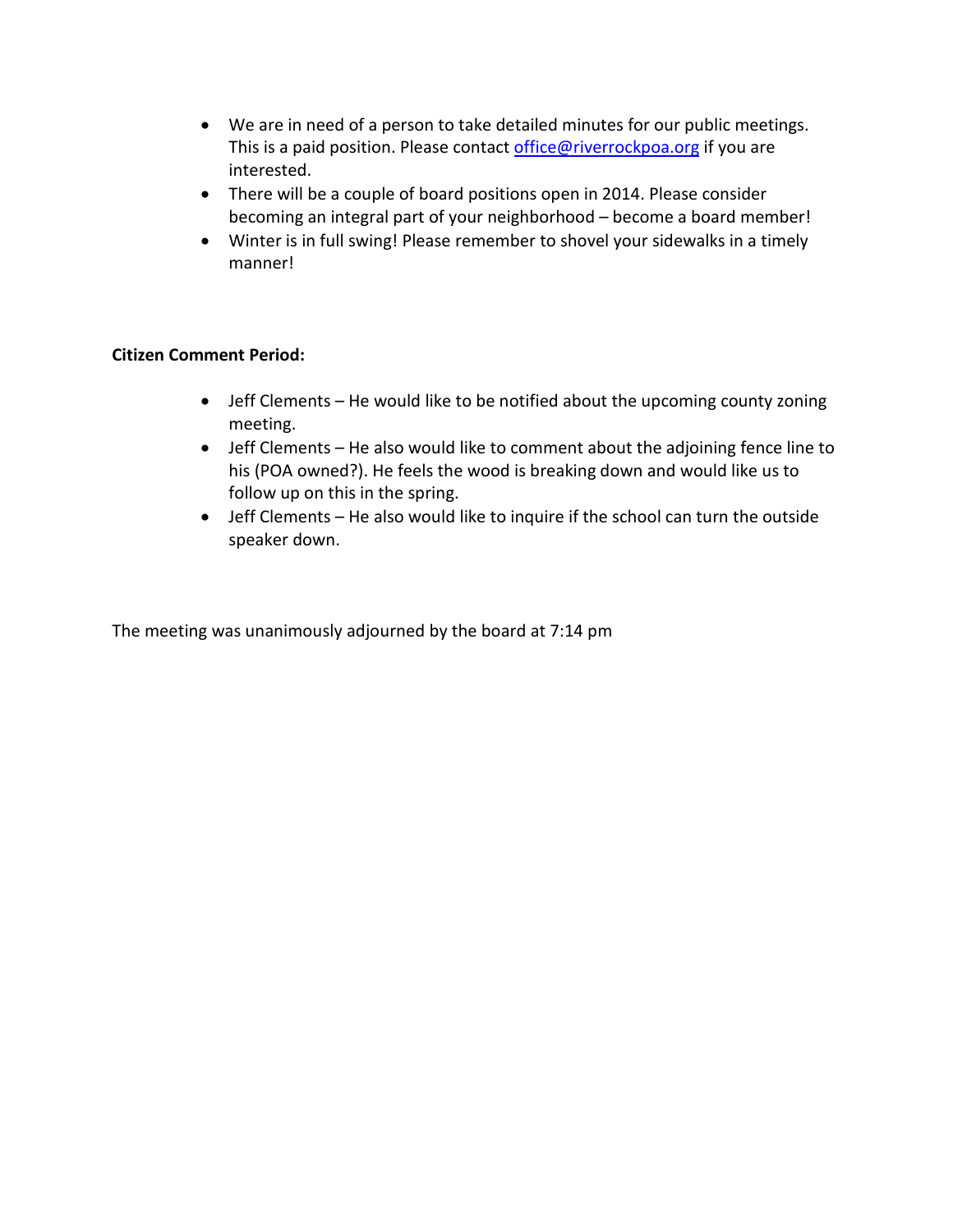- We are in need of a person to take detailed minutes for our public meetings. This is a paid position. Please contact [office@riverrockpoa.org](mailto:office@riverrockpoa.org) if you are interested.
- There will be a couple of board positions open in 2014. Please consider becoming an integral part of your neighborhood – become a board member!
- Winter is in full swing! Please remember to shovel your sidewalks in a timely manner!

## **Citizen Comment Period:**

- Jeff Clements He would like to be notified about the upcoming county zoning meeting.
- Jeff Clements He also would like to comment about the adjoining fence line to his (POA owned?). He feels the wood is breaking down and would like us to follow up on this in the spring.
- Jeff Clements He also would like to inquire if the school can turn the outside speaker down.

The meeting was unanimously adjourned by the board at 7:14 pm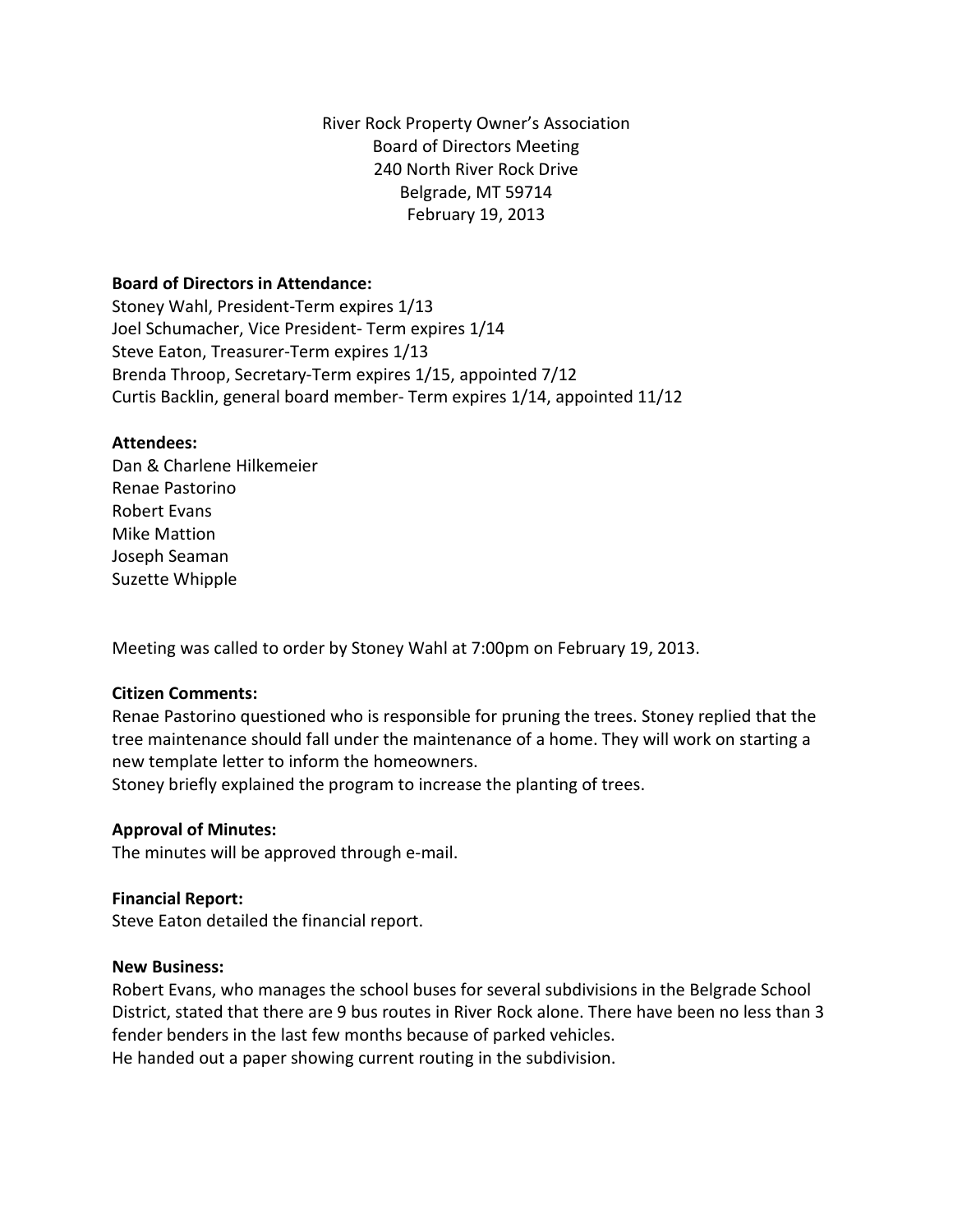River Rock Property Owner's Association Board of Directors Meeting 240 North River Rock Drive Belgrade, MT 59714 February 19, 2013

#### **Board of Directors in Attendance:**

Stoney Wahl, President-Term expires 1/13 Joel Schumacher, Vice President- Term expires 1/14 Steve Eaton, Treasurer-Term expires 1/13 Brenda Throop, Secretary-Term expires 1/15, appointed 7/12 Curtis Backlin, general board member- Term expires 1/14, appointed 11/12

#### **Attendees:**

Dan & Charlene Hilkemeier Renae Pastorino Robert Evans Mike Mattion Joseph Seaman Suzette Whipple

Meeting was called to order by Stoney Wahl at 7:00pm on February 19, 2013.

## **Citizen Comments:**

Renae Pastorino questioned who is responsible for pruning the trees. Stoney replied that the tree maintenance should fall under the maintenance of a home. They will work on starting a new template letter to inform the homeowners.

Stoney briefly explained the program to increase the planting of trees.

## **Approval of Minutes:**

The minutes will be approved through e-mail.

#### **Financial Report:**

Steve Eaton detailed the financial report.

#### **New Business:**

Robert Evans, who manages the school buses for several subdivisions in the Belgrade School District, stated that there are 9 bus routes in River Rock alone. There have been no less than 3 fender benders in the last few months because of parked vehicles.

He handed out a paper showing current routing in the subdivision.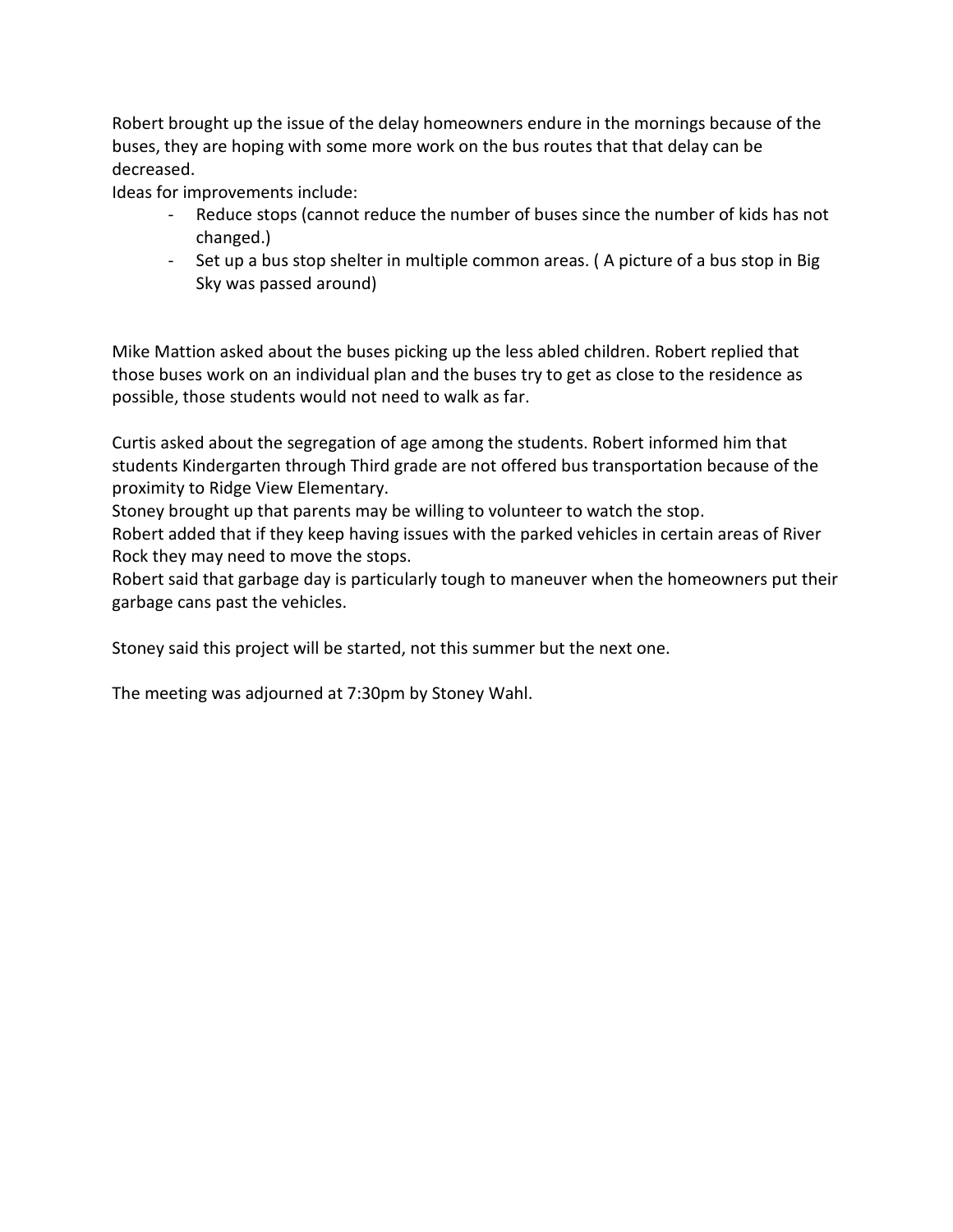Robert brought up the issue of the delay homeowners endure in the mornings because of the buses, they are hoping with some more work on the bus routes that that delay can be decreased.

Ideas for improvements include:

- Reduce stops (cannot reduce the number of buses since the number of kids has not changed.)
- Set up a bus stop shelter in multiple common areas. ( A picture of a bus stop in Big Sky was passed around)

Mike Mattion asked about the buses picking up the less abled children. Robert replied that those buses work on an individual plan and the buses try to get as close to the residence as possible, those students would not need to walk as far.

Curtis asked about the segregation of age among the students. Robert informed him that students Kindergarten through Third grade are not offered bus transportation because of the proximity to Ridge View Elementary.

Stoney brought up that parents may be willing to volunteer to watch the stop.

Robert added that if they keep having issues with the parked vehicles in certain areas of River Rock they may need to move the stops.

Robert said that garbage day is particularly tough to maneuver when the homeowners put their garbage cans past the vehicles.

Stoney said this project will be started, not this summer but the next one.

The meeting was adjourned at 7:30pm by Stoney Wahl.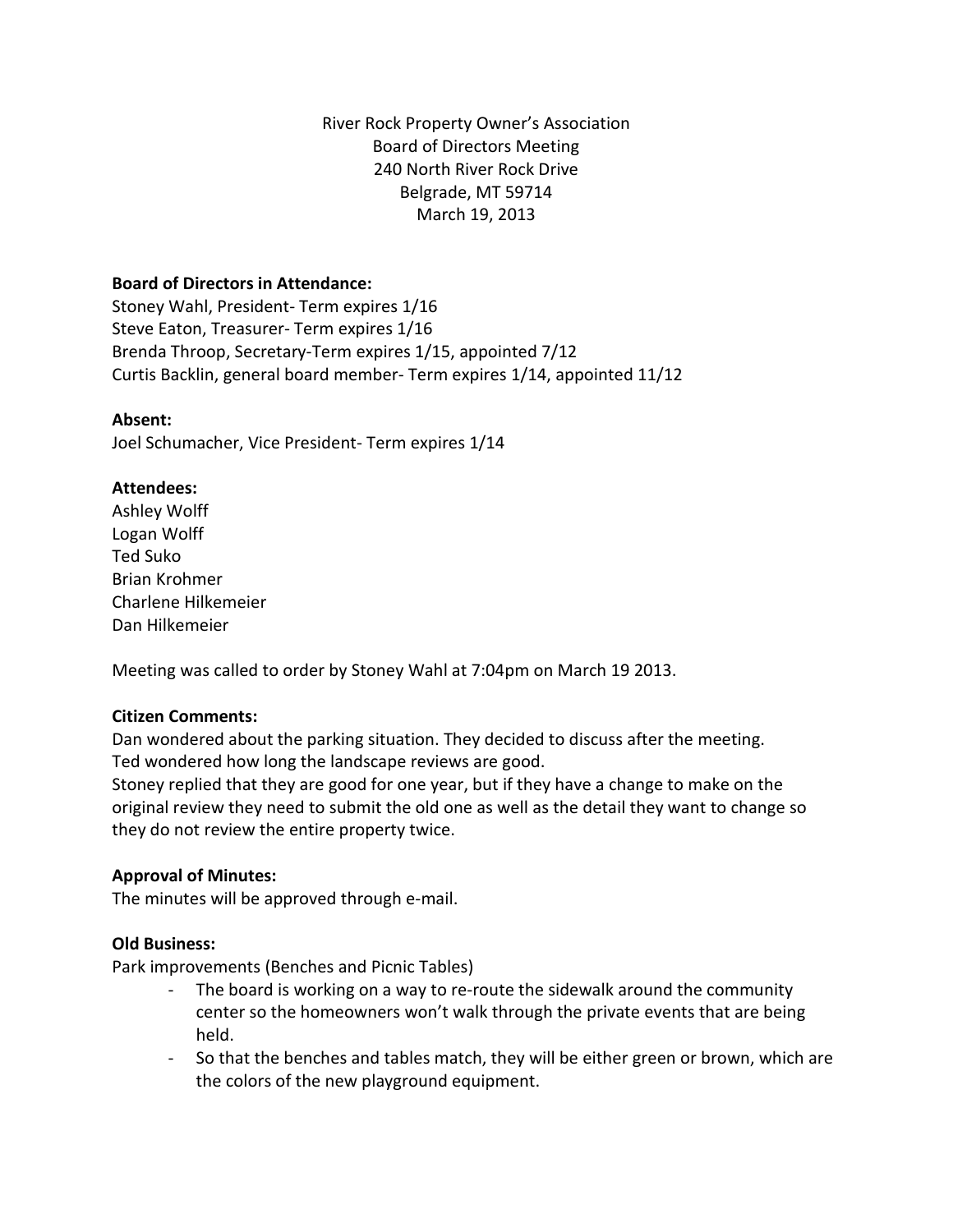River Rock Property Owner's Association Board of Directors Meeting 240 North River Rock Drive Belgrade, MT 59714 March 19, 2013

## **Board of Directors in Attendance:**

Stoney Wahl, President- Term expires 1/16 Steve Eaton, Treasurer- Term expires 1/16 Brenda Throop, Secretary-Term expires 1/15, appointed 7/12 Curtis Backlin, general board member- Term expires 1/14, appointed 11/12

## **Absent:**

Joel Schumacher, Vice President- Term expires 1/14

## **Attendees:**

Ashley Wolff Logan Wolff Ted Suko Brian Krohmer Charlene Hilkemeier Dan Hilkemeier

Meeting was called to order by Stoney Wahl at 7:04pm on March 19 2013.

## **Citizen Comments:**

Dan wondered about the parking situation. They decided to discuss after the meeting. Ted wondered how long the landscape reviews are good.

Stoney replied that they are good for one year, but if they have a change to make on the original review they need to submit the old one as well as the detail they want to change so they do not review the entire property twice.

## **Approval of Minutes:**

The minutes will be approved through e-mail.

## **Old Business:**

Park improvements (Benches and Picnic Tables)

- The board is working on a way to re-route the sidewalk around the community center so the homeowners won't walk through the private events that are being held.
- So that the benches and tables match, they will be either green or brown, which are the colors of the new playground equipment.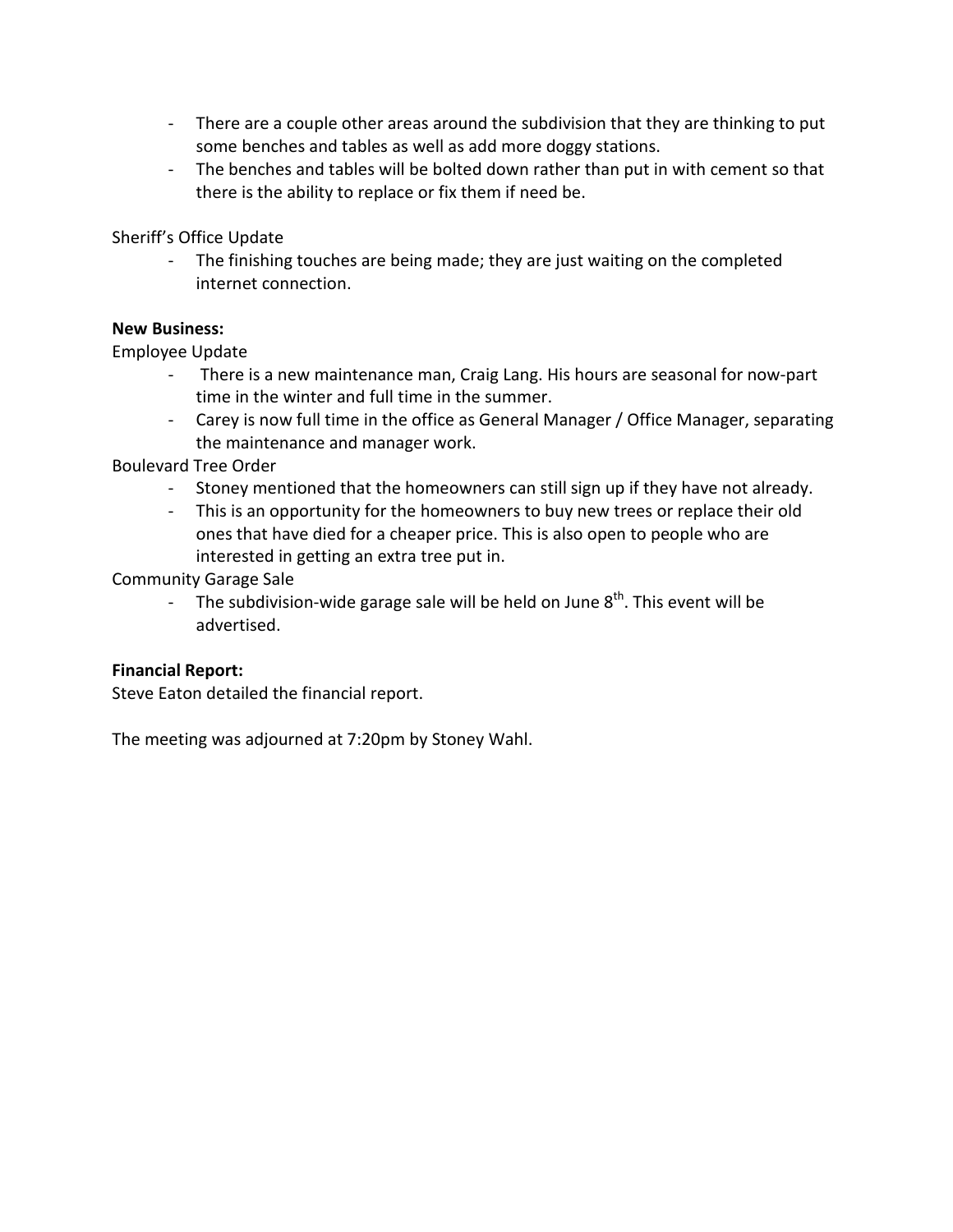- There are a couple other areas around the subdivision that they are thinking to put some benches and tables as well as add more doggy stations.
- The benches and tables will be bolted down rather than put in with cement so that there is the ability to replace or fix them if need be.

Sheriff's Office Update

- The finishing touches are being made; they are just waiting on the completed internet connection.

## **New Business:**

Employee Update

- There is a new maintenance man, Craig Lang. His hours are seasonal for now-part time in the winter and full time in the summer.
- Carey is now full time in the office as General Manager / Office Manager, separating the maintenance and manager work.

Boulevard Tree Order

- Stoney mentioned that the homeowners can still sign up if they have not already.
- This is an opportunity for the homeowners to buy new trees or replace their old ones that have died for a cheaper price. This is also open to people who are interested in getting an extra tree put in.

Community Garage Sale

- The subdivision-wide garage sale will be held on June  $8<sup>th</sup>$ . This event will be advertised.

## **Financial Report:**

Steve Eaton detailed the financial report.

The meeting was adjourned at 7:20pm by Stoney Wahl.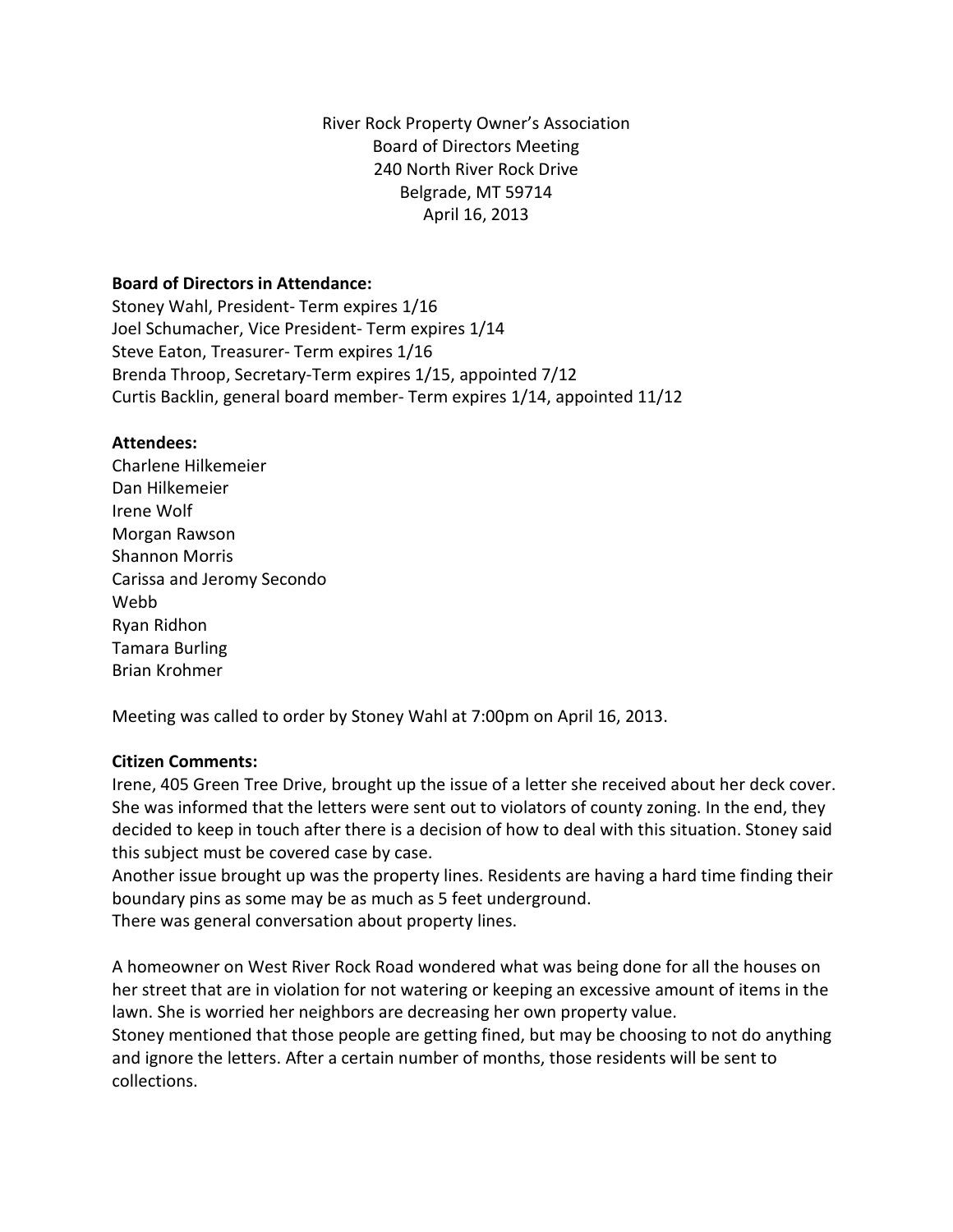River Rock Property Owner's Association Board of Directors Meeting 240 North River Rock Drive Belgrade, MT 59714 April 16, 2013

#### **Board of Directors in Attendance:**

Stoney Wahl, President- Term expires 1/16 Joel Schumacher, Vice President- Term expires 1/14 Steve Eaton, Treasurer- Term expires 1/16 Brenda Throop, Secretary-Term expires 1/15, appointed 7/12 Curtis Backlin, general board member- Term expires 1/14, appointed 11/12

#### **Attendees:**

Charlene Hilkemeier Dan Hilkemeier Irene Wolf Morgan Rawson Shannon Morris Carissa and Jeromy Secondo Webb Ryan Ridhon Tamara Burling Brian Krohmer

Meeting was called to order by Stoney Wahl at 7:00pm on April 16, 2013.

## **Citizen Comments:**

Irene, 405 Green Tree Drive, brought up the issue of a letter she received about her deck cover. She was informed that the letters were sent out to violators of county zoning. In the end, they decided to keep in touch after there is a decision of how to deal with this situation. Stoney said this subject must be covered case by case.

Another issue brought up was the property lines. Residents are having a hard time finding their boundary pins as some may be as much as 5 feet underground.

There was general conversation about property lines.

A homeowner on West River Rock Road wondered what was being done for all the houses on her street that are in violation for not watering or keeping an excessive amount of items in the lawn. She is worried her neighbors are decreasing her own property value.

Stoney mentioned that those people are getting fined, but may be choosing to not do anything and ignore the letters. After a certain number of months, those residents will be sent to collections.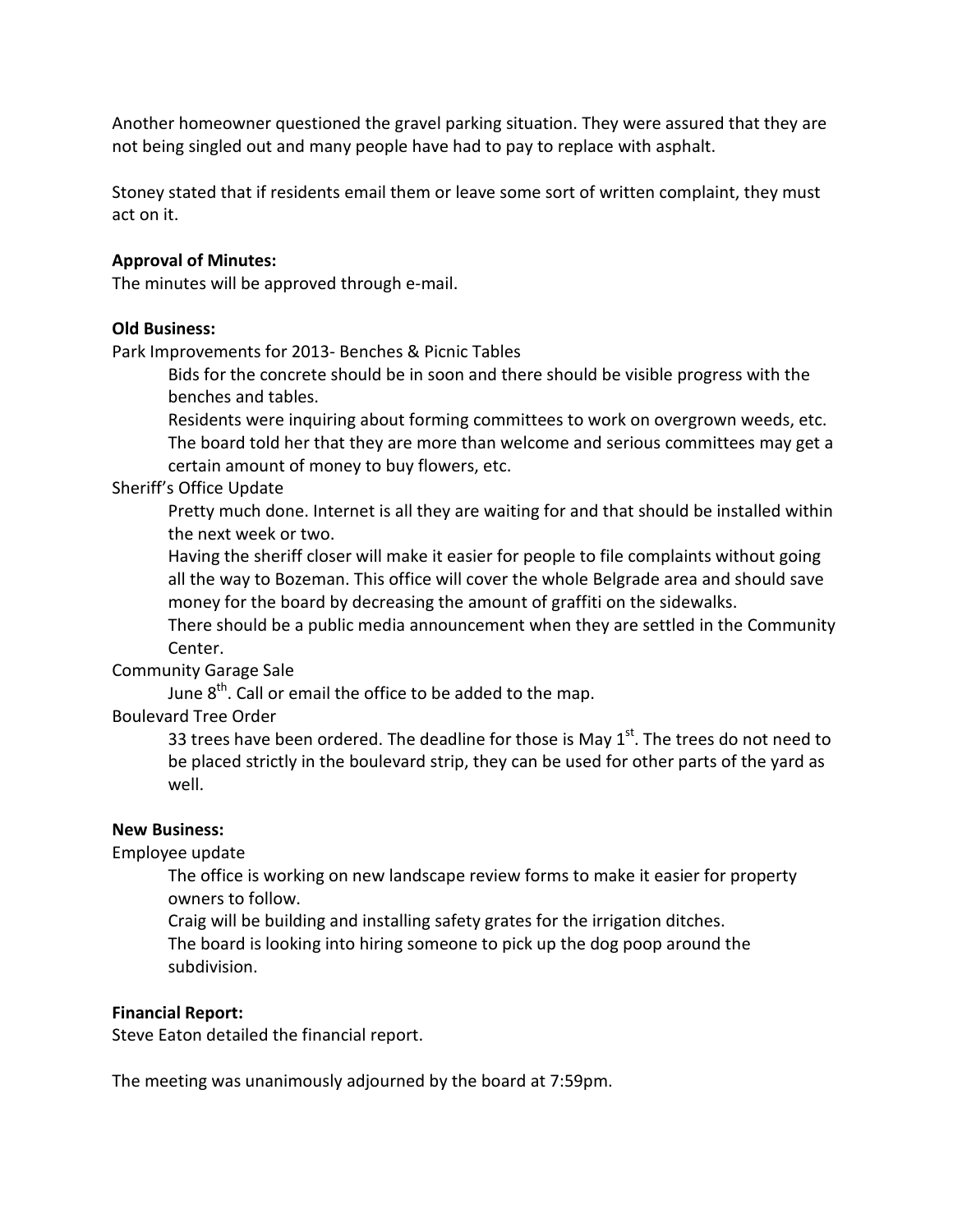Another homeowner questioned the gravel parking situation. They were assured that they are not being singled out and many people have had to pay to replace with asphalt.

Stoney stated that if residents email them or leave some sort of written complaint, they must act on it.

#### **Approval of Minutes:**

The minutes will be approved through e-mail.

#### **Old Business:**

Park Improvements for 2013- Benches & Picnic Tables

Bids for the concrete should be in soon and there should be visible progress with the benches and tables.

Residents were inquiring about forming committees to work on overgrown weeds, etc. The board told her that they are more than welcome and serious committees may get a certain amount of money to buy flowers, etc.

#### Sheriff's Office Update

Pretty much done. Internet is all they are waiting for and that should be installed within the next week or two.

Having the sheriff closer will make it easier for people to file complaints without going all the way to Bozeman. This office will cover the whole Belgrade area and should save money for the board by decreasing the amount of graffiti on the sidewalks.

There should be a public media announcement when they are settled in the Community Center.

## Community Garage Sale

June  $8<sup>th</sup>$ . Call or email the office to be added to the map.

## Boulevard Tree Order

33 trees have been ordered. The deadline for those is May  $1<sup>st</sup>$ . The trees do not need to be placed strictly in the boulevard strip, they can be used for other parts of the yard as well.

#### **New Business:**

## Employee update

The office is working on new landscape review forms to make it easier for property owners to follow.

Craig will be building and installing safety grates for the irrigation ditches.

The board is looking into hiring someone to pick up the dog poop around the subdivision.

#### **Financial Report:**

Steve Eaton detailed the financial report.

The meeting was unanimously adjourned by the board at 7:59pm.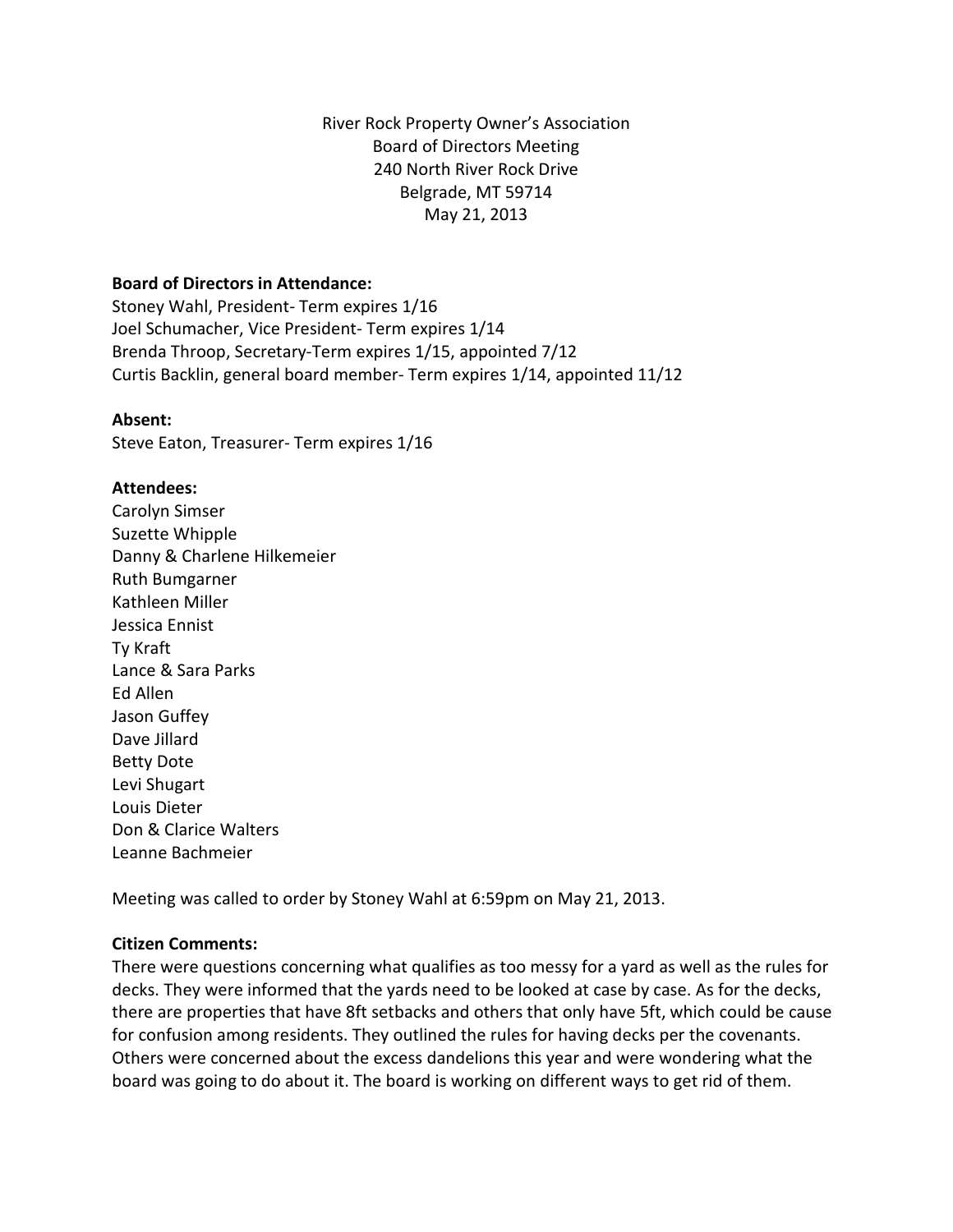River Rock Property Owner's Association Board of Directors Meeting 240 North River Rock Drive Belgrade, MT 59714 May 21, 2013

#### **Board of Directors in Attendance:**

Stoney Wahl, President- Term expires 1/16 Joel Schumacher, Vice President- Term expires 1/14 Brenda Throop, Secretary-Term expires 1/15, appointed 7/12 Curtis Backlin, general board member- Term expires 1/14, appointed 11/12

#### **Absent:**

Steve Eaton, Treasurer- Term expires 1/16

## **Attendees:**

Carolyn Simser Suzette Whipple Danny & Charlene Hilkemeier Ruth Bumgarner Kathleen Miller Jessica Ennist Ty Kraft Lance & Sara Parks Ed Allen Jason Guffey Dave Jillard Betty Dote Levi Shugart Louis Dieter Don & Clarice Walters Leanne Bachmeier

Meeting was called to order by Stoney Wahl at 6:59pm on May 21, 2013.

## **Citizen Comments:**

There were questions concerning what qualifies as too messy for a yard as well as the rules for decks. They were informed that the yards need to be looked at case by case. As for the decks, there are properties that have 8ft setbacks and others that only have 5ft, which could be cause for confusion among residents. They outlined the rules for having decks per the covenants. Others were concerned about the excess dandelions this year and were wondering what the board was going to do about it. The board is working on different ways to get rid of them.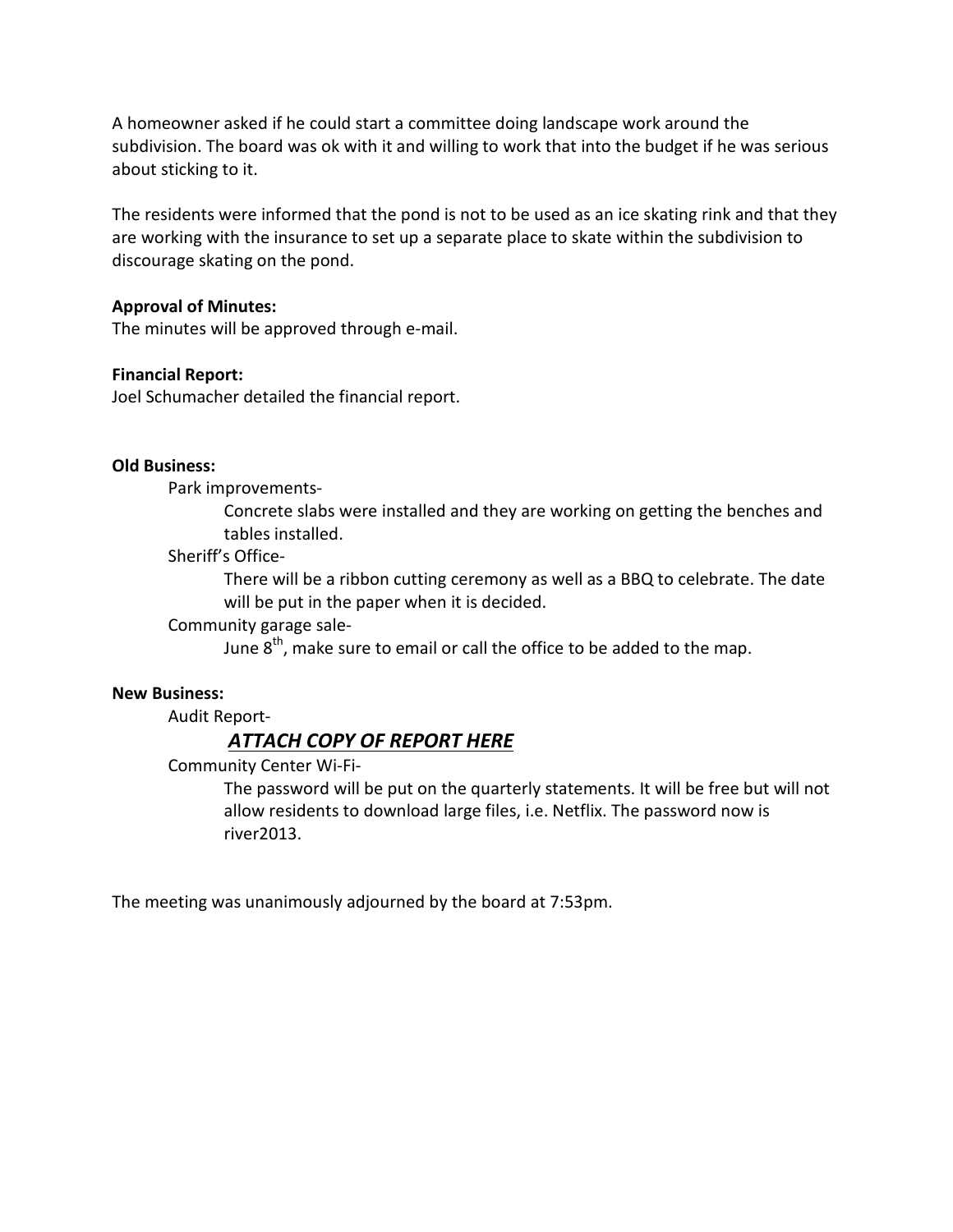A homeowner asked if he could start a committee doing landscape work around the subdivision. The board was ok with it and willing to work that into the budget if he was serious about sticking to it.

The residents were informed that the pond is not to be used as an ice skating rink and that they are working with the insurance to set up a separate place to skate within the subdivision to discourage skating on the pond.

## **Approval of Minutes:**

The minutes will be approved through e-mail.

#### **Financial Report:**

Joel Schumacher detailed the financial report.

#### **Old Business:**

Park improvements-

Concrete slabs were installed and they are working on getting the benches and tables installed.

Sheriff's Office-

There will be a ribbon cutting ceremony as well as a BBQ to celebrate. The date will be put in the paper when it is decided.

Community garage sale-

June  $8<sup>th</sup>$ , make sure to email or call the office to be added to the map.

#### **New Business:**

Audit Report-

## *ATTACH COPY OF REPORT HERE*

Community Center Wi-Fi-

The password will be put on the quarterly statements. It will be free but will not allow residents to download large files, i.e. Netflix. The password now is river2013.

The meeting was unanimously adjourned by the board at 7:53pm.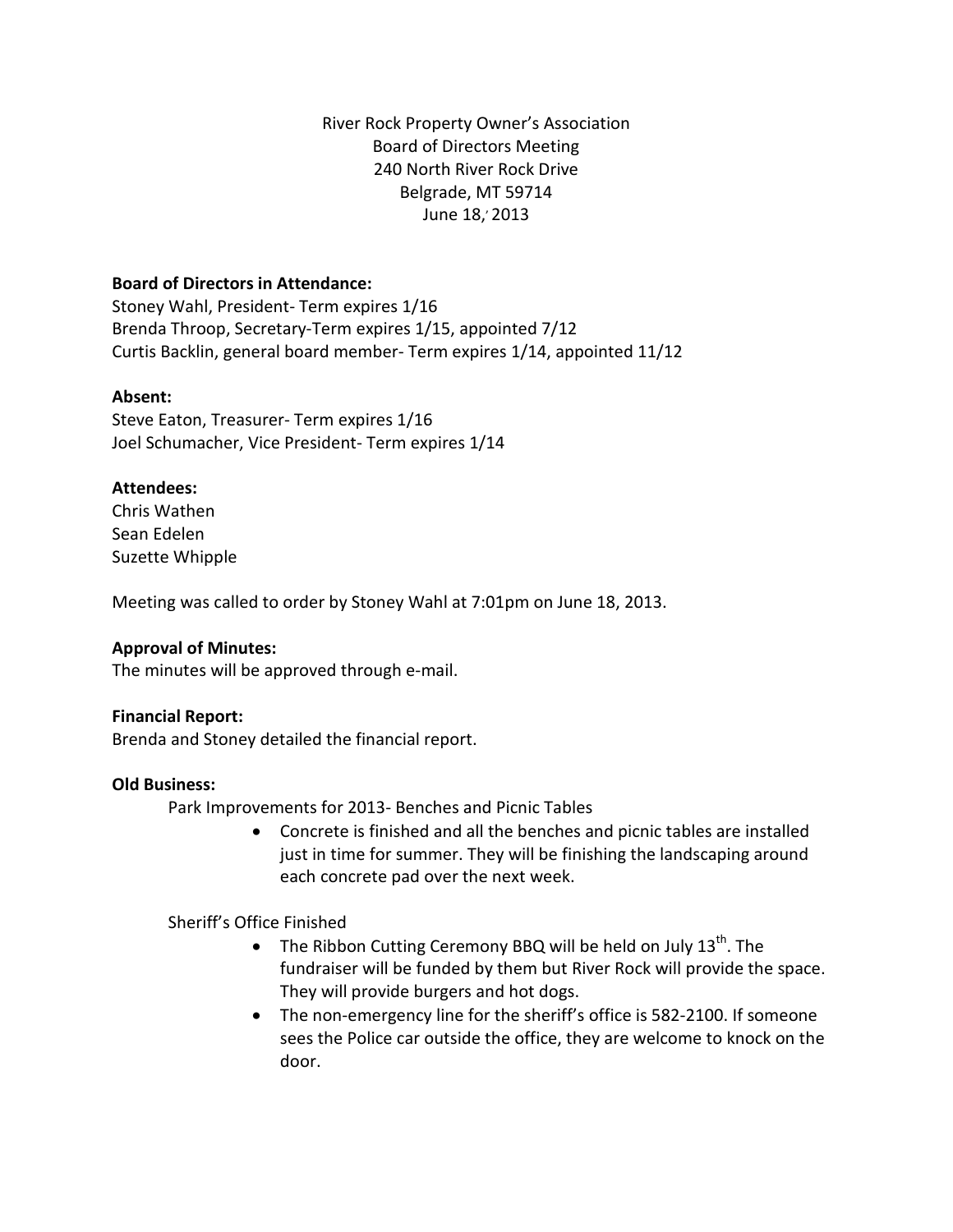River Rock Property Owner's Association Board of Directors Meeting 240 North River Rock Drive Belgrade, MT 59714 June 18, 2013

## **Board of Directors in Attendance:**

Stoney Wahl, President- Term expires 1/16 Brenda Throop, Secretary-Term expires 1/15, appointed 7/12 Curtis Backlin, general board member- Term expires 1/14, appointed 11/12

## **Absent:**

Steve Eaton, Treasurer- Term expires 1/16 Joel Schumacher, Vice President- Term expires 1/14

## **Attendees:**

Chris Wathen Sean Edelen Suzette Whipple

Meeting was called to order by Stoney Wahl at 7:01pm on June 18, 2013.

## **Approval of Minutes:**

The minutes will be approved through e-mail.

## **Financial Report:**

Brenda and Stoney detailed the financial report.

## **Old Business:**

Park Improvements for 2013- Benches and Picnic Tables

• Concrete is finished and all the benches and picnic tables are installed just in time for summer. They will be finishing the landscaping around each concrete pad over the next week.

## Sheriff's Office Finished

- The Ribbon Cutting Ceremony BBQ will be held on July  $13^{th}$ . The fundraiser will be funded by them but River Rock will provide the space. They will provide burgers and hot dogs.
- The non-emergency line for the sheriff's office is 582-2100. If someone sees the Police car outside the office, they are welcome to knock on the door.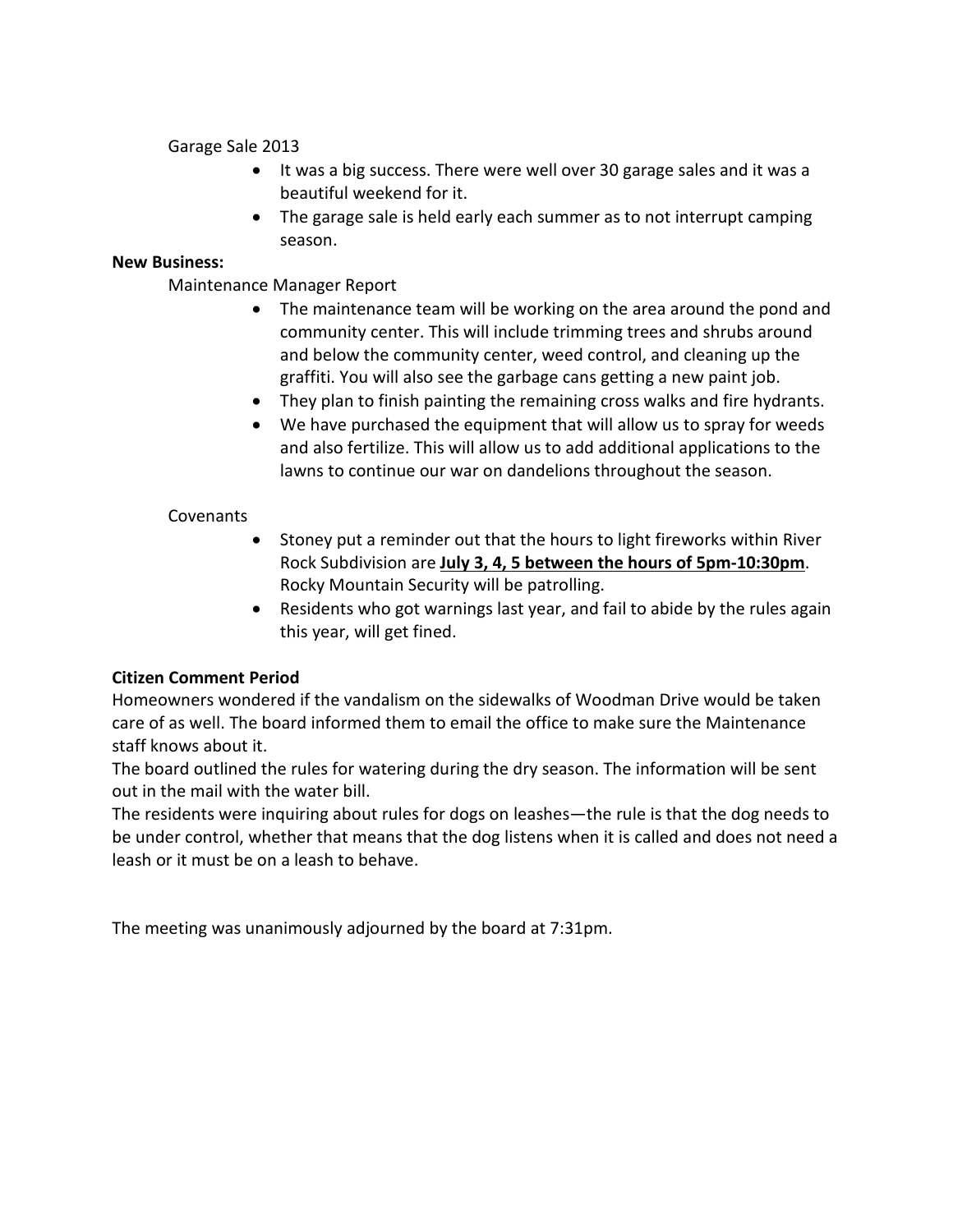Garage Sale 2013

- It was a big success. There were well over 30 garage sales and it was a beautiful weekend for it.
- The garage sale is held early each summer as to not interrupt camping season.

## **New Business:**

Maintenance Manager Report

- The maintenance team will be working on the area around the pond and community center. This will include trimming trees and shrubs around and below the community center, weed control, and cleaning up the graffiti. You will also see the garbage cans getting a new paint job.
- They plan to finish painting the remaining cross walks and fire hydrants.
- We have purchased the equipment that will allow us to spray for weeds and also fertilize. This will allow us to add additional applications to the lawns to continue our war on dandelions throughout the season.

## Covenants

- Stoney put a reminder out that the hours to light fireworks within River Rock Subdivision are **July 3, 4, 5 between the hours of 5pm-10:30pm**. Rocky Mountain Security will be patrolling.
- Residents who got warnings last year, and fail to abide by the rules again this year, will get fined.

## **Citizen Comment Period**

Homeowners wondered if the vandalism on the sidewalks of Woodman Drive would be taken care of as well. The board informed them to email the office to make sure the Maintenance staff knows about it.

The board outlined the rules for watering during the dry season. The information will be sent out in the mail with the water bill.

The residents were inquiring about rules for dogs on leashes—the rule is that the dog needs to be under control, whether that means that the dog listens when it is called and does not need a leash or it must be on a leash to behave.

The meeting was unanimously adjourned by the board at 7:31pm.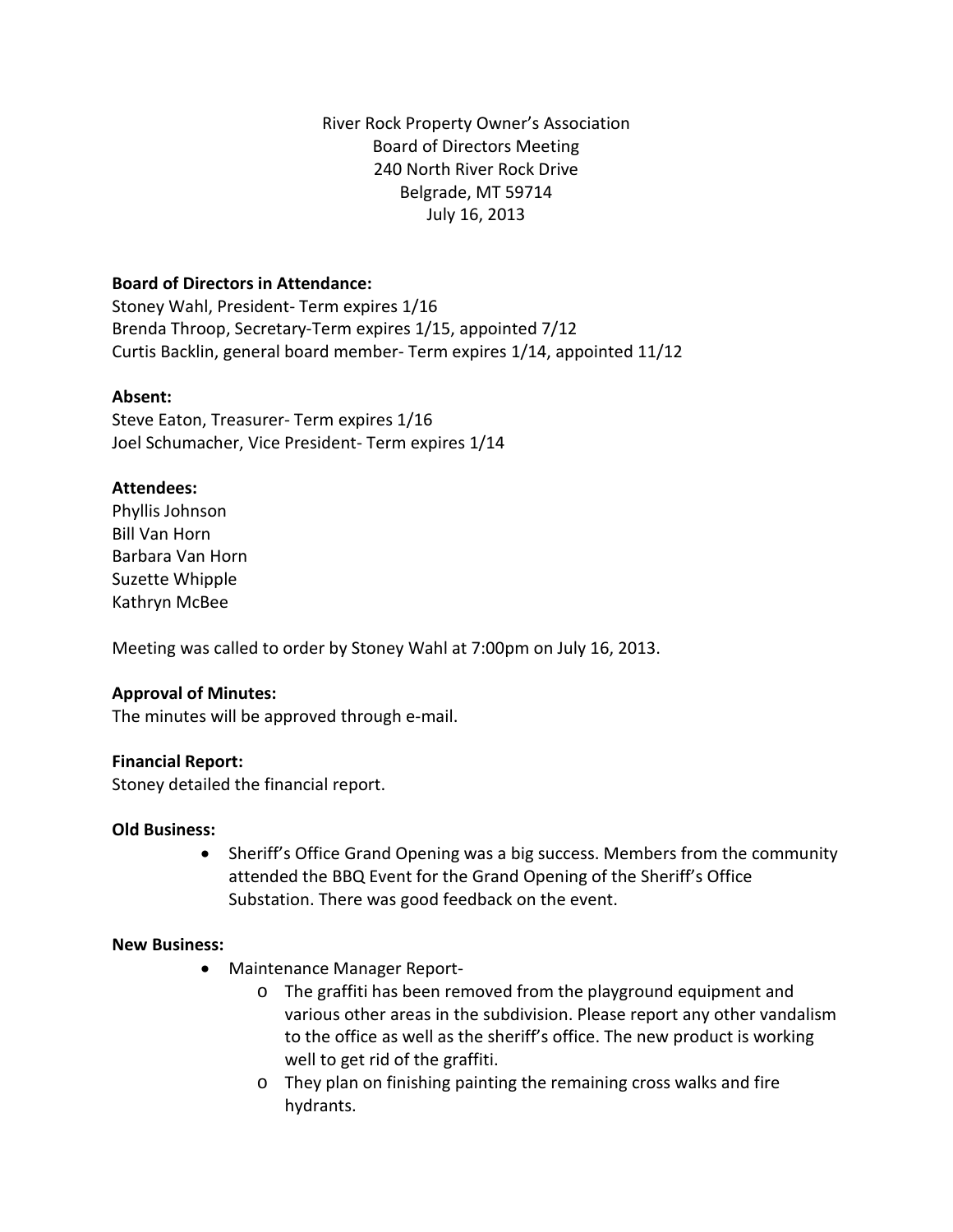River Rock Property Owner's Association Board of Directors Meeting 240 North River Rock Drive Belgrade, MT 59714 July 16, 2013

## **Board of Directors in Attendance:**

Stoney Wahl, President- Term expires 1/16 Brenda Throop, Secretary-Term expires 1/15, appointed 7/12 Curtis Backlin, general board member- Term expires 1/14, appointed 11/12

## **Absent:**

Steve Eaton, Treasurer- Term expires 1/16 Joel Schumacher, Vice President- Term expires 1/14

## **Attendees:**

Phyllis Johnson Bill Van Horn Barbara Van Horn Suzette Whipple Kathryn McBee

Meeting was called to order by Stoney Wahl at 7:00pm on July 16, 2013.

## **Approval of Minutes:**

The minutes will be approved through e-mail.

## **Financial Report:**

Stoney detailed the financial report.

## **Old Business:**

• Sheriff's Office Grand Opening was a big success. Members from the community attended the BBQ Event for the Grand Opening of the Sheriff's Office Substation. There was good feedback on the event.

## **New Business:**

- Maintenance Manager Report
	- o The graffiti has been removed from the playground equipment and various other areas in the subdivision. Please report any other vandalism to the office as well as the sheriff's office. The new product is working well to get rid of the graffiti.
	- o They plan on finishing painting the remaining cross walks and fire hydrants.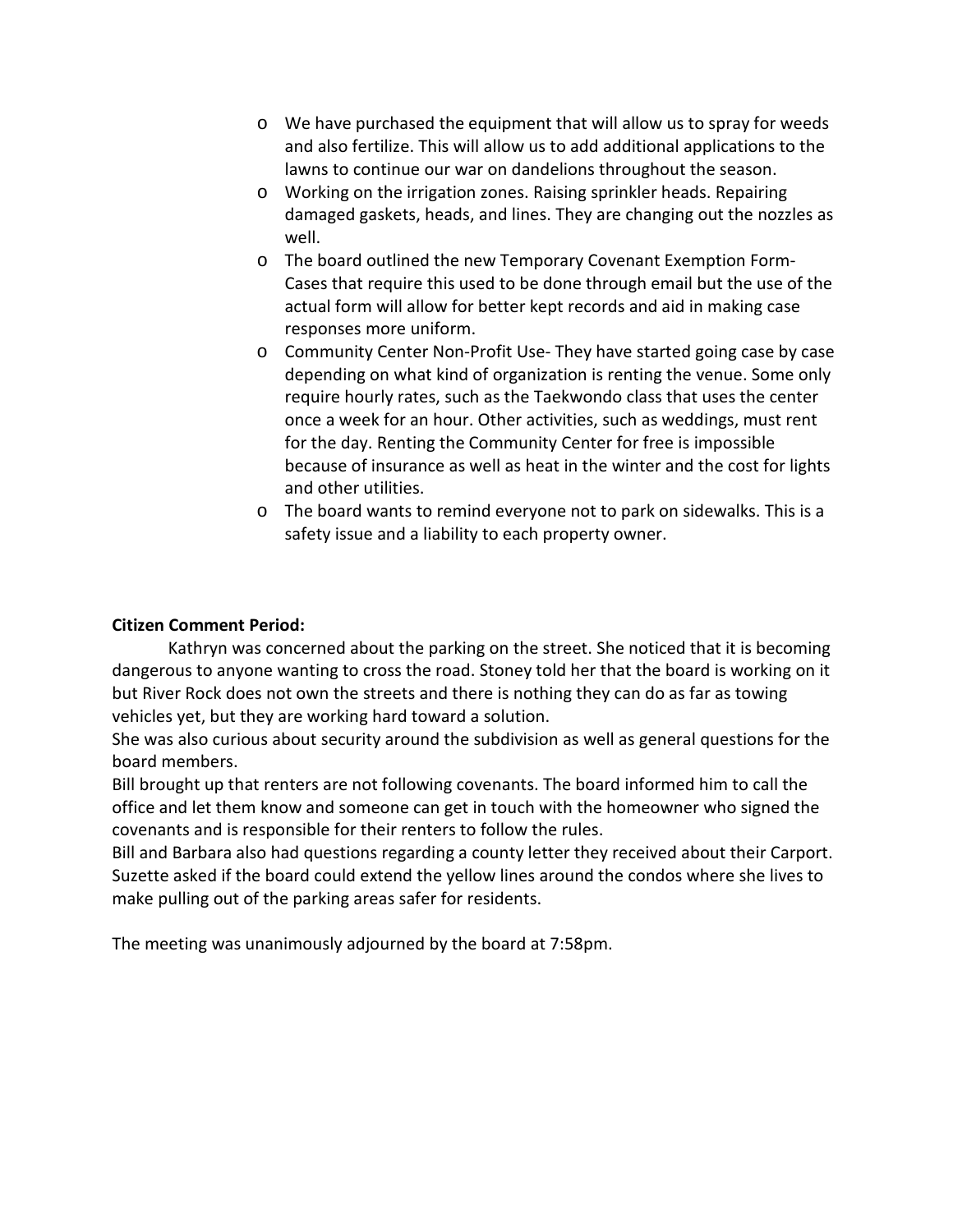- o We have purchased the equipment that will allow us to spray for weeds and also fertilize. This will allow us to add additional applications to the lawns to continue our war on dandelions throughout the season.
- o Working on the irrigation zones. Raising sprinkler heads. Repairing damaged gaskets, heads, and lines. They are changing out the nozzles as well.
- o The board outlined the new Temporary Covenant Exemption Form-Cases that require this used to be done through email but the use of the actual form will allow for better kept records and aid in making case responses more uniform.
- o Community Center Non-Profit Use- They have started going case by case depending on what kind of organization is renting the venue. Some only require hourly rates, such as the Taekwondo class that uses the center once a week for an hour. Other activities, such as weddings, must rent for the day. Renting the Community Center for free is impossible because of insurance as well as heat in the winter and the cost for lights and other utilities.
- o The board wants to remind everyone not to park on sidewalks. This is a safety issue and a liability to each property owner.

## **Citizen Comment Period:**

Kathryn was concerned about the parking on the street. She noticed that it is becoming dangerous to anyone wanting to cross the road. Stoney told her that the board is working on it but River Rock does not own the streets and there is nothing they can do as far as towing vehicles yet, but they are working hard toward a solution.

She was also curious about security around the subdivision as well as general questions for the board members.

Bill brought up that renters are not following covenants. The board informed him to call the office and let them know and someone can get in touch with the homeowner who signed the covenants and is responsible for their renters to follow the rules.

Bill and Barbara also had questions regarding a county letter they received about their Carport. Suzette asked if the board could extend the yellow lines around the condos where she lives to make pulling out of the parking areas safer for residents.

The meeting was unanimously adjourned by the board at 7:58pm.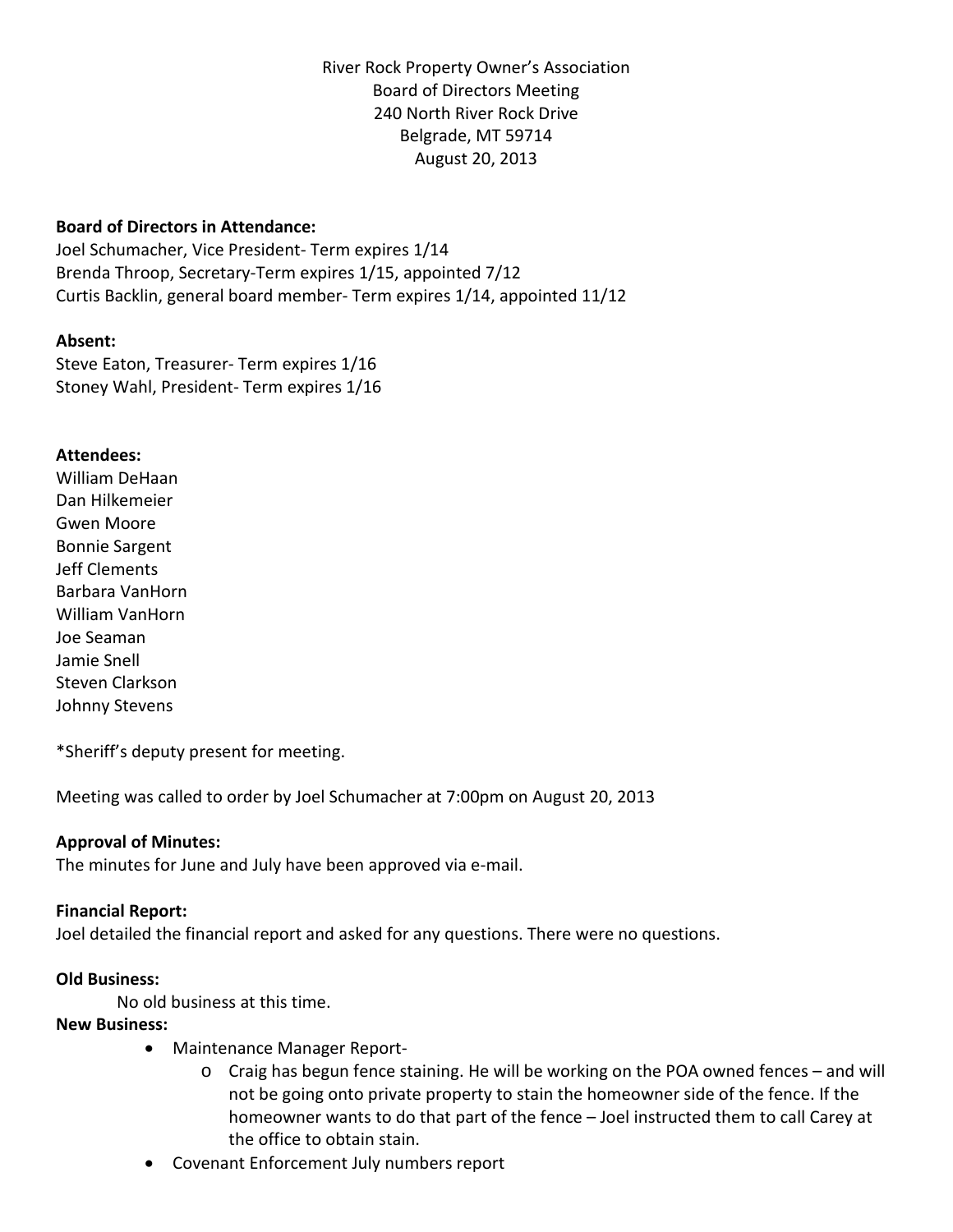River Rock Property Owner's Association Board of Directors Meeting 240 North River Rock Drive Belgrade, MT 59714 August 20, 2013

## **Board of Directors in Attendance:**

Joel Schumacher, Vice President- Term expires 1/14 Brenda Throop, Secretary-Term expires 1/15, appointed 7/12 Curtis Backlin, general board member- Term expires 1/14, appointed 11/12

#### **Absent:**

Steve Eaton, Treasurer- Term expires 1/16 Stoney Wahl, President- Term expires 1/16

#### **Attendees:**

William DeHaan Dan Hilkemeier Gwen Moore Bonnie Sargent Jeff Clements Barbara VanHorn William VanHorn Joe Seaman Jamie Snell Steven Clarkson Johnny Stevens

\*Sheriff's deputy present for meeting.

Meeting was called to order by Joel Schumacher at 7:00pm on August 20, 2013

## **Approval of Minutes:**

The minutes for June and July have been approved via e-mail.

#### **Financial Report:**

Joel detailed the financial report and asked for any questions. There were no questions.

## **Old Business:**

No old business at this time.

#### **New Business:**

- Maintenance Manager Report
	- o Craig has begun fence staining. He will be working on the POA owned fences and will not be going onto private property to stain the homeowner side of the fence. If the homeowner wants to do that part of the fence – Joel instructed them to call Carey at the office to obtain stain.
- Covenant Enforcement July numbers report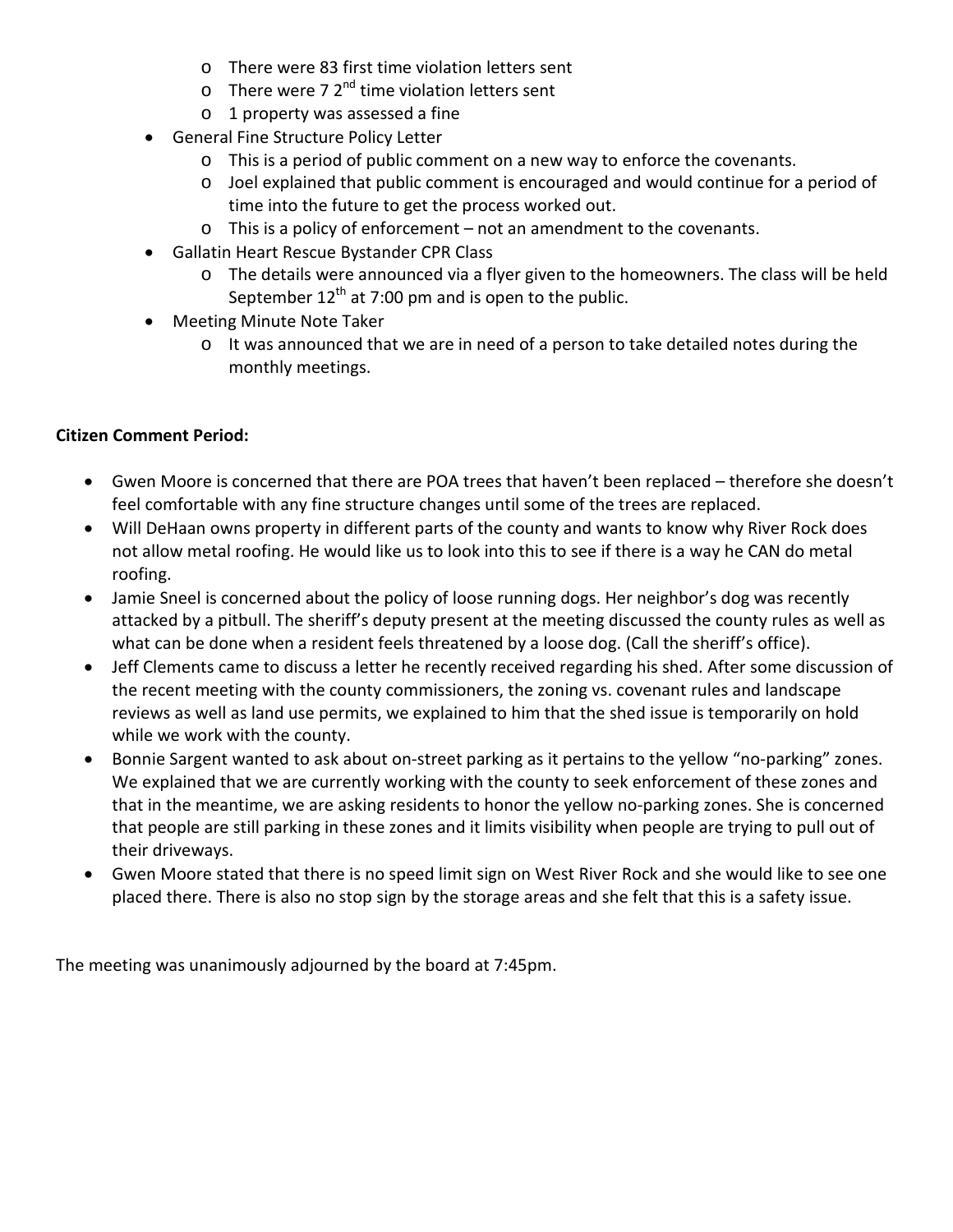- o There were 83 first time violation letters sent
- $\circ$  There were 7 2<sup>nd</sup> time violation letters sent
- o 1 property was assessed a fine
- General Fine Structure Policy Letter
	- o This is a period of public comment on a new way to enforce the covenants.
	- $\circ$  Joel explained that public comment is encouraged and would continue for a period of time into the future to get the process worked out.
	- o This is a policy of enforcement not an amendment to the covenants.
- Gallatin Heart Rescue Bystander CPR Class
	- o The details were announced via a flyer given to the homeowners. The class will be held September  $12^{th}$  at 7:00 pm and is open to the public.
- Meeting Minute Note Taker
	- $\circ$  It was announced that we are in need of a person to take detailed notes during the monthly meetings.

## **Citizen Comment Period:**

- Gwen Moore is concerned that there are POA trees that haven't been replaced therefore she doesn't feel comfortable with any fine structure changes until some of the trees are replaced.
- Will DeHaan owns property in different parts of the county and wants to know why River Rock does not allow metal roofing. He would like us to look into this to see if there is a way he CAN do metal roofing.
- Jamie Sneel is concerned about the policy of loose running dogs. Her neighbor's dog was recently attacked by a pitbull. The sheriff's deputy present at the meeting discussed the county rules as well as what can be done when a resident feels threatened by a loose dog. (Call the sheriff's office).
- Jeff Clements came to discuss a letter he recently received regarding his shed. After some discussion of the recent meeting with the county commissioners, the zoning vs. covenant rules and landscape reviews as well as land use permits, we explained to him that the shed issue is temporarily on hold while we work with the county.
- Bonnie Sargent wanted to ask about on-street parking as it pertains to the yellow "no-parking" zones. We explained that we are currently working with the county to seek enforcement of these zones and that in the meantime, we are asking residents to honor the yellow no-parking zones. She is concerned that people are still parking in these zones and it limits visibility when people are trying to pull out of their driveways.
- Gwen Moore stated that there is no speed limit sign on West River Rock and she would like to see one placed there. There is also no stop sign by the storage areas and she felt that this is a safety issue.

The meeting was unanimously adjourned by the board at 7:45pm.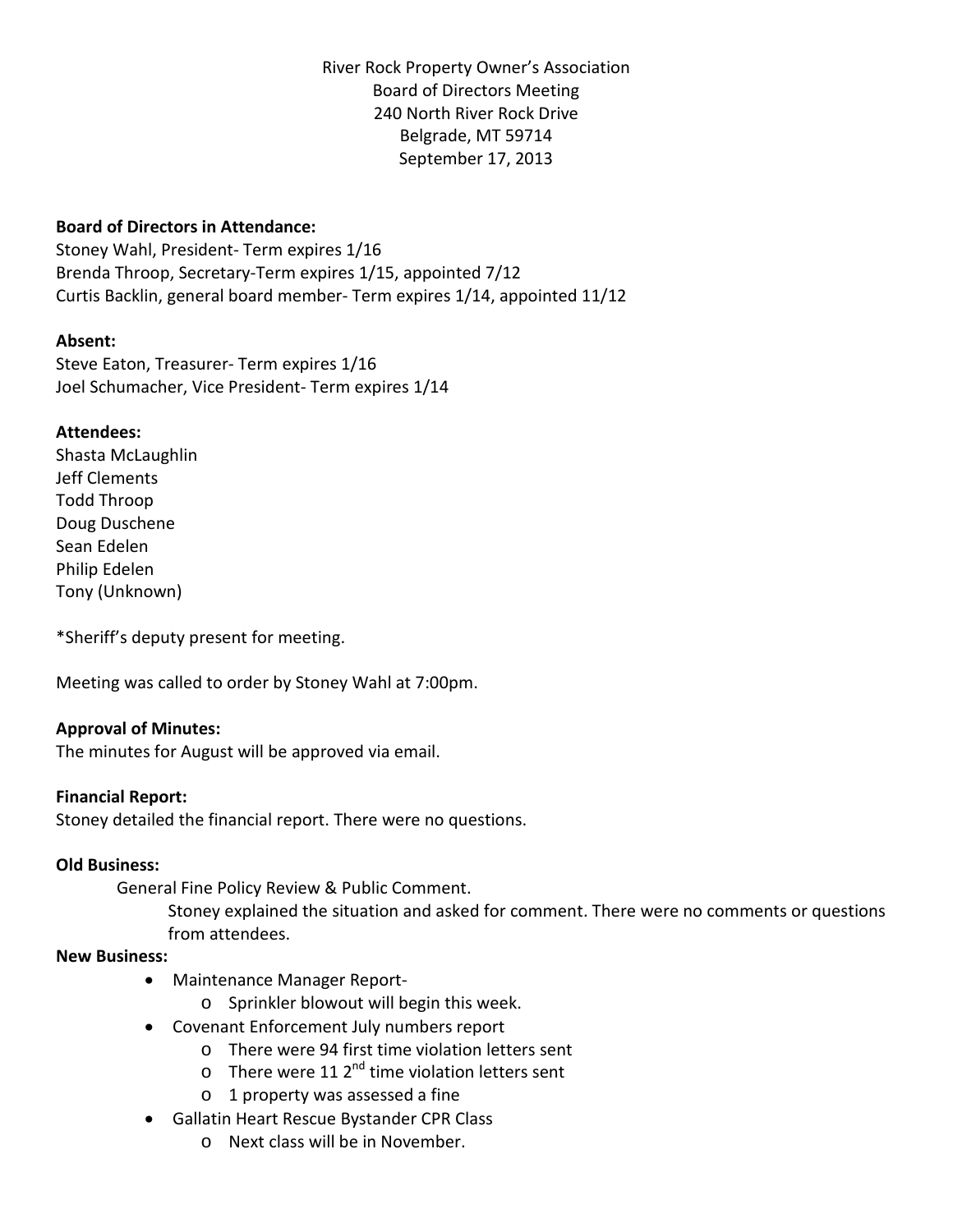River Rock Property Owner's Association Board of Directors Meeting 240 North River Rock Drive Belgrade, MT 59714 September 17, 2013

# **Board of Directors in Attendance:**

Stoney Wahl, President- Term expires 1/16 Brenda Throop, Secretary-Term expires 1/15, appointed 7/12 Curtis Backlin, general board member- Term expires 1/14, appointed 11/12

## **Absent:**

Steve Eaton, Treasurer- Term expires 1/16 Joel Schumacher, Vice President- Term expires 1/14

## **Attendees:**

Shasta McLaughlin Jeff Clements Todd Throop Doug Duschene Sean Edelen Philip Edelen Tony (Unknown)

\*Sheriff's deputy present for meeting.

Meeting was called to order by Stoney Wahl at 7:00pm.

## **Approval of Minutes:**

The minutes for August will be approved via email.

## **Financial Report:**

Stoney detailed the financial report. There were no questions.

## **Old Business:**

General Fine Policy Review & Public Comment.

Stoney explained the situation and asked for comment. There were no comments or questions from attendees.

## **New Business:**

- Maintenance Manager Report
	- o Sprinkler blowout will begin this week.
- Covenant Enforcement July numbers report
	- o There were 94 first time violation letters sent
	- $\circ$  There were 11 2<sup>nd</sup> time violation letters sent
	- o 1 property was assessed a fine
- Gallatin Heart Rescue Bystander CPR Class
	- o Next class will be in November.